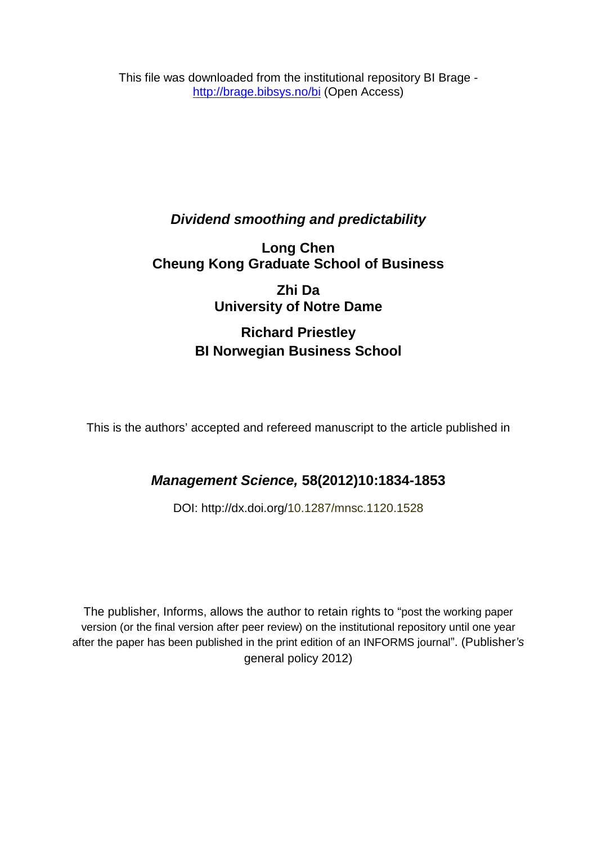This file was downloaded from the institutional repository BI Brage <http://brage.bibsys.no/bi> (Open Access)

## *Dividend smoothing and predictability*

## **Long Chen Cheung Kong Graduate School of Business**

**Zhi Da University of Notre Dame**

## **Richard Priestley BI Norwegian Business School**

This is the authors' accepted and refereed manuscript to the article published in

## *Management Science,* **58(2012)10:1834-1853**

DOI: http://dx.doi.org/10.1287/mnsc.1120.1528

The publisher, Informs, allows the author to retain rights to "post the working paper version (or the final version after peer review) on the institutional repository until one year after the paper has been published in the print edition of an INFORMS journal". (Publisher*'s* general policy 2012)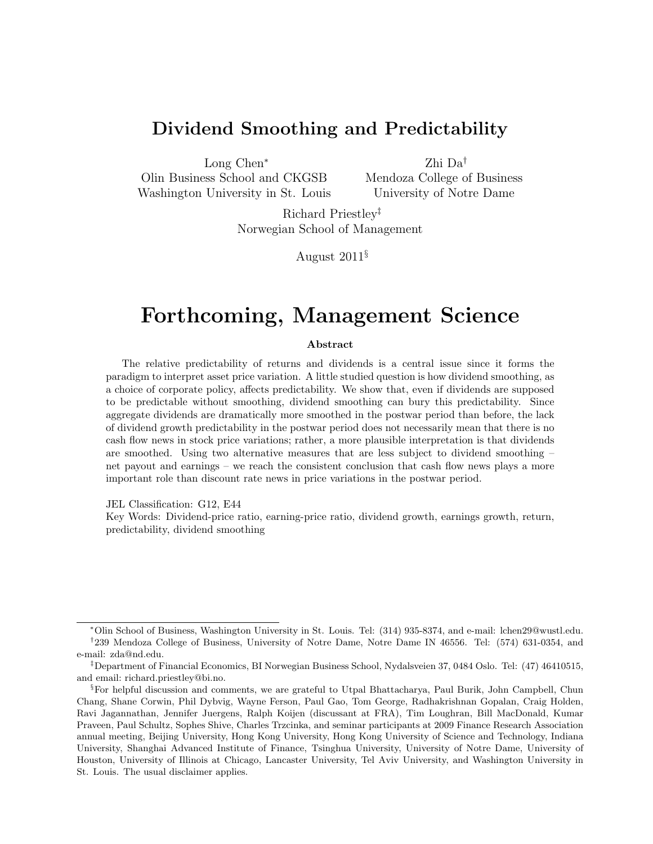## Dividend Smoothing and Predictability

Long Chen<sup>∗</sup>

Olin Business School and CKGSB Washington University in St. Louis

Zhi Da† Mendoza College of Business University of Notre Dame

Richard Priestley‡ Norwegian School of Management

August 2011§

# Forthcoming, Management Science

#### Abstract

The relative predictability of returns and dividends is a central issue since it forms the paradigm to interpret asset price variation. A little studied question is how dividend smoothing, as a choice of corporate policy, affects predictability. We show that, even if dividends are supposed to be predictable without smoothing, dividend smoothing can bury this predictability. Since aggregate dividends are dramatically more smoothed in the postwar period than before, the lack of dividend growth predictability in the postwar period does not necessarily mean that there is no cash flow news in stock price variations; rather, a more plausible interpretation is that dividends are smoothed. Using two alternative measures that are less subject to dividend smoothing – net payout and earnings – we reach the consistent conclusion that cash flow news plays a more important role than discount rate news in price variations in the postwar period.

JEL Classification: G12, E44

Key Words: Dividend-price ratio, earning-price ratio, dividend growth, earnings growth, return, predictability, dividend smoothing

<sup>∗</sup>Olin School of Business, Washington University in St. Louis. Tel: (314) 935-8374, and e-mail: lchen29@wustl.edu. † 239 Mendoza College of Business, University of Notre Dame, Notre Dame IN 46556. Tel: (574) 631-0354, and e-mail: zda@nd.edu.

<sup>‡</sup>Department of Financial Economics, BI Norwegian Business School, Nydalsveien 37, 0484 Oslo. Tel: (47) 46410515, and email: richard.priestley@bi.no.

<sup>§</sup>For helpful discussion and comments, we are grateful to Utpal Bhattacharya, Paul Burik, John Campbell, Chun Chang, Shane Corwin, Phil Dybvig, Wayne Ferson, Paul Gao, Tom George, Radhakrishnan Gopalan, Craig Holden, Ravi Jagannathan, Jennifer Juergens, Ralph Koijen (discussant at FRA), Tim Loughran, Bill MacDonald, Kumar Praveen, Paul Schultz, Sophes Shive, Charles Trzcinka, and seminar participants at 2009 Finance Research Association annual meeting, Beijing University, Hong Kong University, Hong Kong University of Science and Technology, Indiana University, Shanghai Advanced Institute of Finance, Tsinghua University, University of Notre Dame, University of Houston, University of Illinois at Chicago, Lancaster University, Tel Aviv University, and Washington University in St. Louis. The usual disclaimer applies.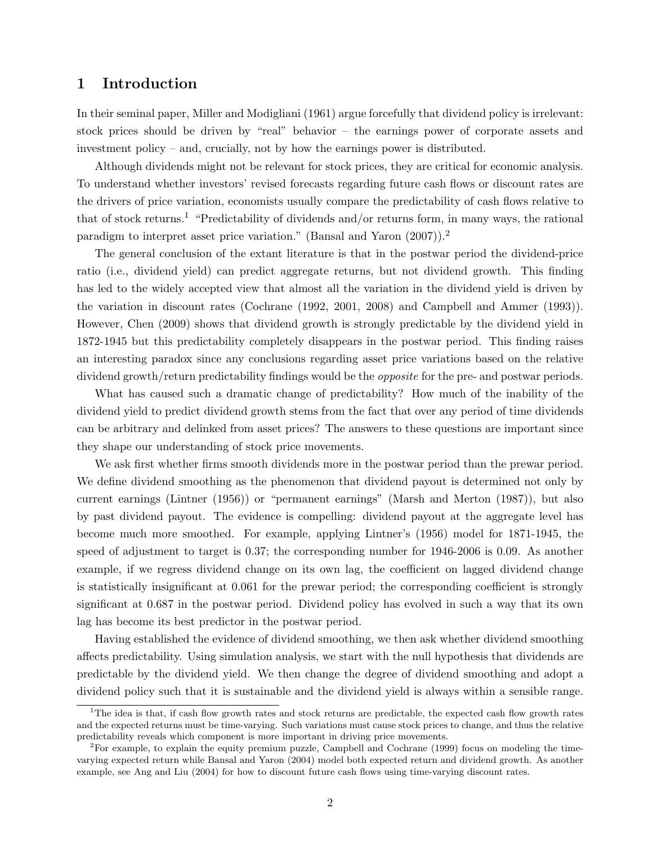### 1 Introduction

In their seminal paper, Miller and Modigliani (1961) argue forcefully that dividend policy is irrelevant: stock prices should be driven by "real" behavior – the earnings power of corporate assets and investment policy – and, crucially, not by how the earnings power is distributed.

Although dividends might not be relevant for stock prices, they are critical for economic analysis. To understand whether investors' revised forecasts regarding future cash flows or discount rates are the drivers of price variation, economists usually compare the predictability of cash flows relative to that of stock returns.<sup>1</sup> "Predictability of dividends and/or returns form, in many ways, the rational paradigm to interpret asset price variation." (Bansal and Yaron (2007)).<sup>2</sup>

The general conclusion of the extant literature is that in the postwar period the dividend-price ratio (i.e., dividend yield) can predict aggregate returns, but not dividend growth. This finding has led to the widely accepted view that almost all the variation in the dividend yield is driven by the variation in discount rates (Cochrane (1992, 2001, 2008) and Campbell and Ammer (1993)). However, Chen (2009) shows that dividend growth is strongly predictable by the dividend yield in 1872-1945 but this predictability completely disappears in the postwar period. This finding raises an interesting paradox since any conclusions regarding asset price variations based on the relative dividend growth/return predictability findings would be the *opposite* for the pre- and postwar periods.

What has caused such a dramatic change of predictability? How much of the inability of the dividend yield to predict dividend growth stems from the fact that over any period of time dividends can be arbitrary and delinked from asset prices? The answers to these questions are important since they shape our understanding of stock price movements.

We ask first whether firms smooth dividends more in the postwar period than the prewar period. We define dividend smoothing as the phenomenon that dividend payout is determined not only by current earnings (Lintner (1956)) or "permanent earnings" (Marsh and Merton (1987)), but also by past dividend payout. The evidence is compelling: dividend payout at the aggregate level has become much more smoothed. For example, applying Lintner's (1956) model for 1871-1945, the speed of adjustment to target is 0.37; the corresponding number for 1946-2006 is 0.09. As another example, if we regress dividend change on its own lag, the coefficient on lagged dividend change is statistically insignificant at 0.061 for the prewar period; the corresponding coefficient is strongly significant at 0.687 in the postwar period. Dividend policy has evolved in such a way that its own lag has become its best predictor in the postwar period.

Having established the evidence of dividend smoothing, we then ask whether dividend smoothing affects predictability. Using simulation analysis, we start with the null hypothesis that dividends are predictable by the dividend yield. We then change the degree of dividend smoothing and adopt a dividend policy such that it is sustainable and the dividend yield is always within a sensible range.

<sup>&</sup>lt;sup>1</sup>The idea is that, if cash flow growth rates and stock returns are predictable, the expected cash flow growth rates and the expected returns must be time-varying. Such variations must cause stock prices to change, and thus the relative predictability reveals which component is more important in driving price movements.

<sup>&</sup>lt;sup>2</sup>For example, to explain the equity premium puzzle, Campbell and Cochrane (1999) focus on modeling the timevarying expected return while Bansal and Yaron (2004) model both expected return and dividend growth. As another example, see Ang and Liu (2004) for how to discount future cash flows using time-varying discount rates.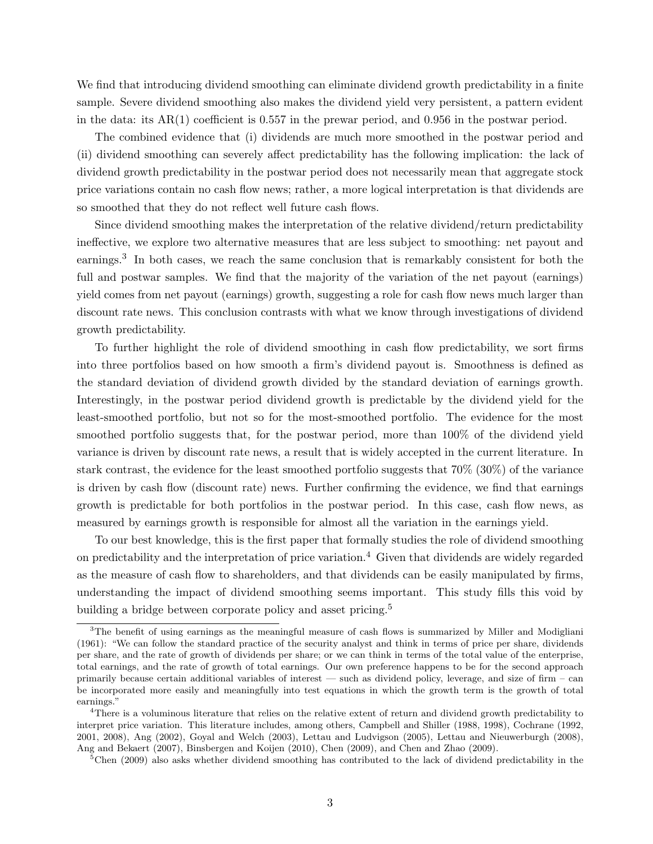We find that introducing dividend smoothing can eliminate dividend growth predictability in a finite sample. Severe dividend smoothing also makes the dividend yield very persistent, a pattern evident in the data: its AR(1) coefficient is 0.557 in the prewar period, and 0.956 in the postwar period.

The combined evidence that (i) dividends are much more smoothed in the postwar period and (ii) dividend smoothing can severely affect predictability has the following implication: the lack of dividend growth predictability in the postwar period does not necessarily mean that aggregate stock price variations contain no cash flow news; rather, a more logical interpretation is that dividends are so smoothed that they do not reflect well future cash flows.

Since dividend smoothing makes the interpretation of the relative dividend/return predictability ineffective, we explore two alternative measures that are less subject to smoothing: net payout and earnings.<sup>3</sup> In both cases, we reach the same conclusion that is remarkably consistent for both the full and postwar samples. We find that the majority of the variation of the net payout (earnings) yield comes from net payout (earnings) growth, suggesting a role for cash flow news much larger than discount rate news. This conclusion contrasts with what we know through investigations of dividend growth predictability.

To further highlight the role of dividend smoothing in cash flow predictability, we sort firms into three portfolios based on how smooth a firm's dividend payout is. Smoothness is defined as the standard deviation of dividend growth divided by the standard deviation of earnings growth. Interestingly, in the postwar period dividend growth is predictable by the dividend yield for the least-smoothed portfolio, but not so for the most-smoothed portfolio. The evidence for the most smoothed portfolio suggests that, for the postwar period, more than 100% of the dividend yield variance is driven by discount rate news, a result that is widely accepted in the current literature. In stark contrast, the evidence for the least smoothed portfolio suggests that 70% (30%) of the variance is driven by cash flow (discount rate) news. Further confirming the evidence, we find that earnings growth is predictable for both portfolios in the postwar period. In this case, cash flow news, as measured by earnings growth is responsible for almost all the variation in the earnings yield.

To our best knowledge, this is the first paper that formally studies the role of dividend smoothing on predictability and the interpretation of price variation.<sup>4</sup> Given that dividends are widely regarded as the measure of cash flow to shareholders, and that dividends can be easily manipulated by firms, understanding the impact of dividend smoothing seems important. This study fills this void by building a bridge between corporate policy and asset pricing.<sup>5</sup>

<sup>&</sup>lt;sup>3</sup>The benefit of using earnings as the meaningful measure of cash flows is summarized by Miller and Modigliani (1961): "We can follow the standard practice of the security analyst and think in terms of price per share, dividends per share, and the rate of growth of dividends per share; or we can think in terms of the total value of the enterprise, total earnings, and the rate of growth of total earnings. Our own preference happens to be for the second approach primarily because certain additional variables of interest — such as dividend policy, leverage, and size of firm – can be incorporated more easily and meaningfully into test equations in which the growth term is the growth of total earnings."

<sup>4</sup>There is a voluminous literature that relies on the relative extent of return and dividend growth predictability to interpret price variation. This literature includes, among others, Campbell and Shiller (1988, 1998), Cochrane (1992, 2001, 2008), Ang (2002), Goyal and Welch (2003), Lettau and Ludvigson (2005), Lettau and Nieuwerburgh (2008), Ang and Bekaert (2007), Binsbergen and Koijen (2010), Chen (2009), and Chen and Zhao (2009).

<sup>&</sup>lt;sup>5</sup>Chen (2009) also asks whether dividend smoothing has contributed to the lack of dividend predictability in the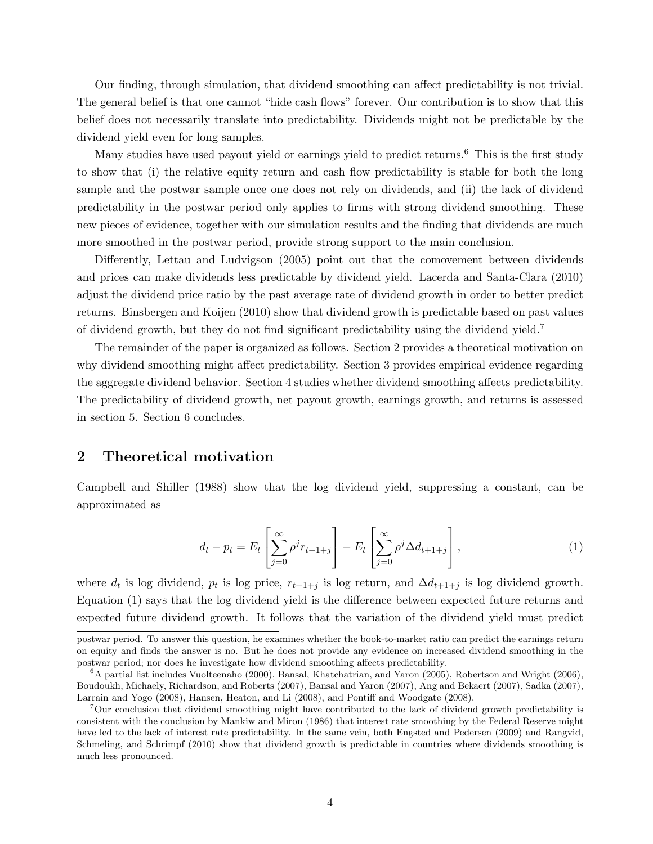Our finding, through simulation, that dividend smoothing can affect predictability is not trivial. The general belief is that one cannot "hide cash flows" forever. Our contribution is to show that this belief does not necessarily translate into predictability. Dividends might not be predictable by the dividend yield even for long samples.

Many studies have used payout yield or earnings yield to predict returns.<sup>6</sup> This is the first study to show that (i) the relative equity return and cash flow predictability is stable for both the long sample and the postwar sample once one does not rely on dividends, and (ii) the lack of dividend predictability in the postwar period only applies to firms with strong dividend smoothing. These new pieces of evidence, together with our simulation results and the finding that dividends are much more smoothed in the postwar period, provide strong support to the main conclusion.

Differently, Lettau and Ludvigson (2005) point out that the comovement between dividends and prices can make dividends less predictable by dividend yield. Lacerda and Santa-Clara (2010) adjust the dividend price ratio by the past average rate of dividend growth in order to better predict returns. Binsbergen and Koijen (2010) show that dividend growth is predictable based on past values of dividend growth, but they do not find significant predictability using the dividend yield.<sup>7</sup>

The remainder of the paper is organized as follows. Section 2 provides a theoretical motivation on why dividend smoothing might affect predictability. Section 3 provides empirical evidence regarding the aggregate dividend behavior. Section 4 studies whether dividend smoothing affects predictability. The predictability of dividend growth, net payout growth, earnings growth, and returns is assessed in section 5. Section 6 concludes.

## 2 Theoretical motivation

Campbell and Shiller (1988) show that the log dividend yield, suppressing a constant, can be approximated as

$$
d_t - p_t = E_t \left[ \sum_{j=0}^{\infty} \rho^j r_{t+1+j} \right] - E_t \left[ \sum_{j=0}^{\infty} \rho^j \Delta d_{t+1+j} \right],
$$
 (1)

where  $d_t$  is log dividend,  $p_t$  is log price,  $r_{t+1+j}$  is log return, and  $\Delta d_{t+1+j}$  is log dividend growth. Equation (1) says that the log dividend yield is the difference between expected future returns and expected future dividend growth. It follows that the variation of the dividend yield must predict

postwar period. To answer this question, he examines whether the book-to-market ratio can predict the earnings return on equity and finds the answer is no. But he does not provide any evidence on increased dividend smoothing in the postwar period; nor does he investigate how dividend smoothing affects predictability.

<sup>6</sup>A partial list includes Vuolteenaho (2000), Bansal, Khatchatrian, and Yaron (2005), Robertson and Wright (2006), Boudoukh, Michaely, Richardson, and Roberts (2007), Bansal and Yaron (2007), Ang and Bekaert (2007), Sadka (2007), Larrain and Yogo (2008), Hansen, Heaton, and Li (2008), and Pontiff and Woodgate (2008).

<sup>7</sup>Our conclusion that dividend smoothing might have contributed to the lack of dividend growth predictability is consistent with the conclusion by Mankiw and Miron (1986) that interest rate smoothing by the Federal Reserve might have led to the lack of interest rate predictability. In the same vein, both Engsted and Pedersen (2009) and Rangvid, Schmeling, and Schrimpf (2010) show that dividend growth is predictable in countries where dividends smoothing is much less pronounced.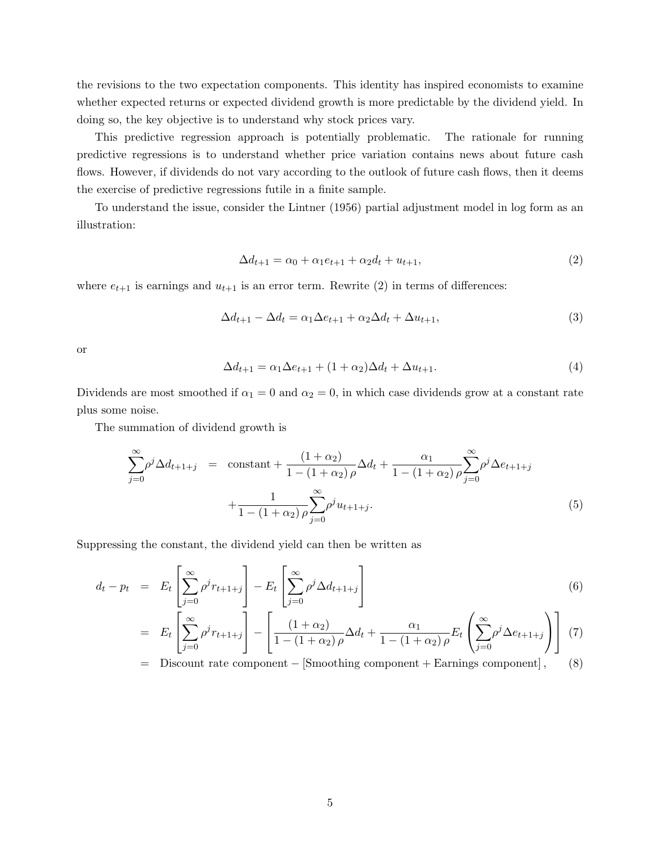the revisions to the two expectation components. This identity has inspired economists to examine whether expected returns or expected dividend growth is more predictable by the dividend yield. In doing so, the key objective is to understand why stock prices vary.

This predictive regression approach is potentially problematic. The rationale for running predictive regressions is to understand whether price variation contains news about future cash flows. However, if dividends do not vary according to the outlook of future cash flows, then it deems the exercise of predictive regressions futile in a finite sample.

To understand the issue, consider the Lintner (1956) partial adjustment model in log form as an illustration:

$$
\Delta d_{t+1} = \alpha_0 + \alpha_1 e_{t+1} + \alpha_2 d_t + u_{t+1},
$$
\n(2)

where  $e_{t+1}$  is earnings and  $u_{t+1}$  is an error term. Rewrite (2) in terms of differences:

$$
\Delta d_{t+1} - \Delta d_t = \alpha_1 \Delta e_{t+1} + \alpha_2 \Delta d_t + \Delta u_{t+1},\tag{3}
$$

or

$$
\Delta d_{t+1} = \alpha_1 \Delta e_{t+1} + (1 + \alpha_2) \Delta d_t + \Delta u_{t+1}.
$$
\n
$$
(4)
$$

Dividends are most smoothed if  $\alpha_1 = 0$  and  $\alpha_2 = 0$ , in which case dividends grow at a constant rate plus some noise.

The summation of dividend growth is

$$
\sum_{j=0}^{\infty} \rho^j \Delta d_{t+1+j} = \text{constant} + \frac{(1+\alpha_2)}{1-(1+\alpha_2)\rho} \Delta d_t + \frac{\alpha_1}{1-(1+\alpha_2)\rho} \sum_{j=0}^{\infty} \rho^j \Delta e_{t+1+j}
$$

$$
+ \frac{1}{1-(1+\alpha_2)\rho} \sum_{j=0}^{\infty} \rho^j u_{t+1+j}.
$$
(5)

Suppressing the constant, the dividend yield can then be written as

$$
d_t - p_t = E_t \left[ \sum_{j=0}^{\infty} \rho^j r_{t+1+j} \right] - E_t \left[ \sum_{j=0}^{\infty} \rho^j \Delta d_{t+1+j} \right]
$$
(6)

$$
= E_t \left[ \sum_{j=0}^{\infty} \rho^j r_{t+1+j} \right] - \left[ \frac{(1+\alpha_2)}{1-(1+\alpha_2)\rho} \Delta d_t + \frac{\alpha_1}{1-(1+\alpha_2)\rho} E_t \left( \sum_{j=0}^{\infty} \rho^j \Delta e_{t+1+j} \right) \right] (7)
$$

= Discount rate component − [Smoothing component + Earnings component] , (8)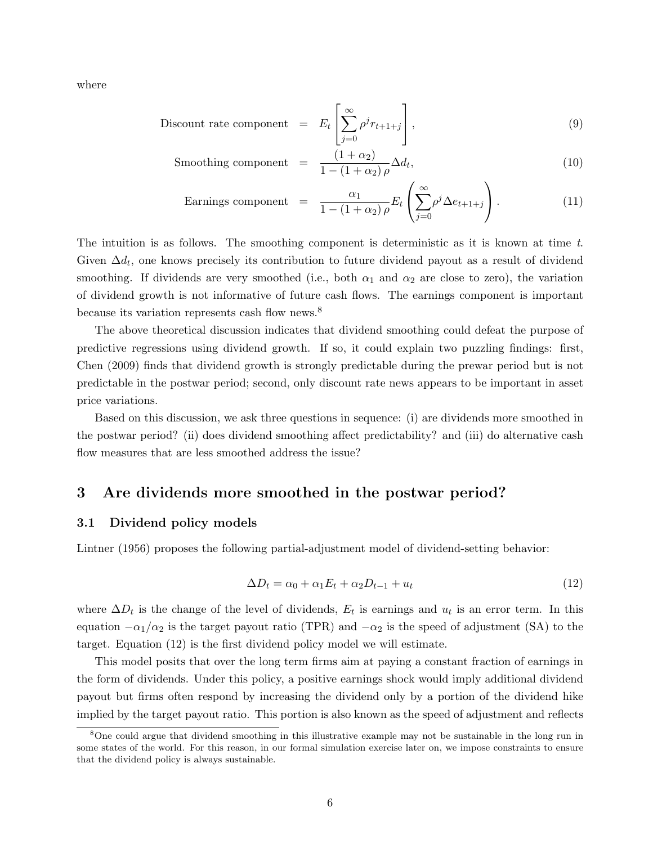where

$$
\text{Discount rate component} = E_t \left[ \sum_{j=0}^{\infty} \rho^j r_{t+1+j} \right],\tag{9}
$$

$$
\text{Smoothing component} = \frac{(1+\alpha_2)}{1-(1+\alpha_2)\rho} \Delta d_t,\tag{10}
$$

Earning component 
$$
= \frac{\alpha_1}{1 - (1 + \alpha_2) \rho} E_t \left( \sum_{j=0}^{\infty} \rho^j \Delta e_{t+1+j} \right).
$$
 (11)

The intuition is as follows. The smoothing component is deterministic as it is known at time  $t$ . Given  $\Delta d_t$ , one knows precisely its contribution to future dividend payout as a result of dividend smoothing. If dividends are very smoothed (i.e., both  $\alpha_1$  and  $\alpha_2$  are close to zero), the variation of dividend growth is not informative of future cash flows. The earnings component is important because its variation represents cash flow news.<sup>8</sup>

The above theoretical discussion indicates that dividend smoothing could defeat the purpose of predictive regressions using dividend growth. If so, it could explain two puzzling findings: first, Chen (2009) finds that dividend growth is strongly predictable during the prewar period but is not predictable in the postwar period; second, only discount rate news appears to be important in asset price variations.

Based on this discussion, we ask three questions in sequence: (i) are dividends more smoothed in the postwar period? (ii) does dividend smoothing affect predictability? and (iii) do alternative cash flow measures that are less smoothed address the issue?

### 3 Are dividends more smoothed in the postwar period?

### 3.1 Dividend policy models

Lintner (1956) proposes the following partial-adjustment model of dividend-setting behavior:

$$
\Delta D_t = \alpha_0 + \alpha_1 E_t + \alpha_2 D_{t-1} + u_t \tag{12}
$$

where  $\Delta D_t$  is the change of the level of dividends,  $E_t$  is earnings and  $u_t$  is an error term. In this equation  $-\alpha_1/\alpha_2$  is the target payout ratio (TPR) and  $-\alpha_2$  is the speed of adjustment (SA) to the target. Equation (12) is the first dividend policy model we will estimate.

This model posits that over the long term firms aim at paying a constant fraction of earnings in the form of dividends. Under this policy, a positive earnings shock would imply additional dividend payout but firms often respond by increasing the dividend only by a portion of the dividend hike implied by the target payout ratio. This portion is also known as the speed of adjustment and reflects

<sup>8</sup>One could argue that dividend smoothing in this illustrative example may not be sustainable in the long run in some states of the world. For this reason, in our formal simulation exercise later on, we impose constraints to ensure that the dividend policy is always sustainable.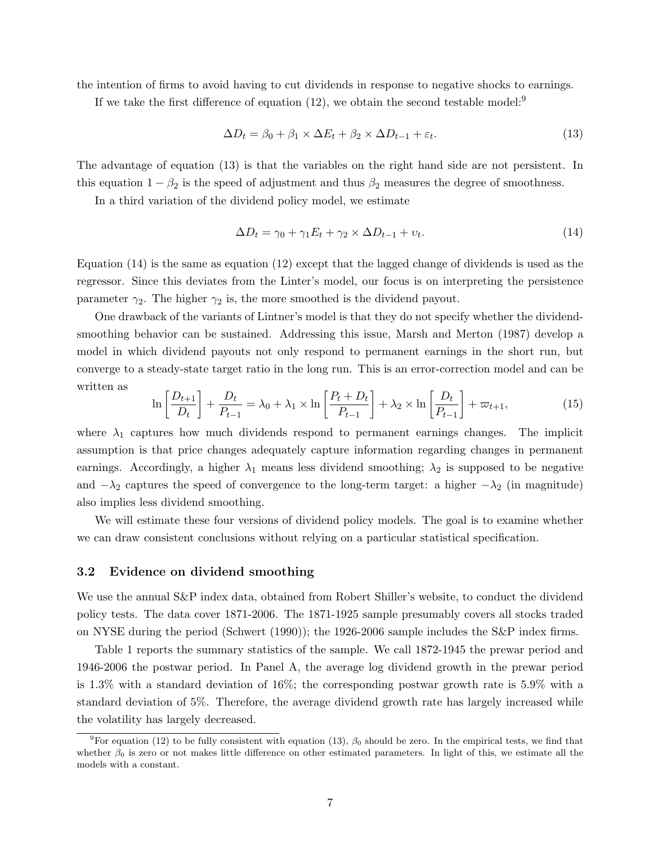the intention of firms to avoid having to cut dividends in response to negative shocks to earnings.

If we take the first difference of equation  $(12)$ , we obtain the second testable model:<sup>9</sup>

$$
\Delta D_t = \beta_0 + \beta_1 \times \Delta E_t + \beta_2 \times \Delta D_{t-1} + \varepsilon_t.
$$
\n(13)

The advantage of equation (13) is that the variables on the right hand side are not persistent. In this equation  $1 - \beta_2$  is the speed of adjustment and thus  $\beta_2$  measures the degree of smoothness.

In a third variation of the dividend policy model, we estimate

$$
\Delta D_t = \gamma_0 + \gamma_1 E_t + \gamma_2 \times \Delta D_{t-1} + v_t. \tag{14}
$$

Equation (14) is the same as equation (12) except that the lagged change of dividends is used as the regressor. Since this deviates from the Linter's model, our focus is on interpreting the persistence parameter  $\gamma_2$ . The higher  $\gamma_2$  is, the more smoothed is the dividend payout.

One drawback of the variants of Lintner's model is that they do not specify whether the dividendsmoothing behavior can be sustained. Addressing this issue, Marsh and Merton (1987) develop a model in which dividend payouts not only respond to permanent earnings in the short run, but converge to a steady-state target ratio in the long run. This is an error-correction model and can be written as

$$
\ln\left[\frac{D_{t+1}}{D_t}\right] + \frac{D_t}{P_{t-1}} = \lambda_0 + \lambda_1 \times \ln\left[\frac{P_t + D_t}{P_{t-1}}\right] + \lambda_2 \times \ln\left[\frac{D_t}{P_{t-1}}\right] + \varpi_{t+1},\tag{15}
$$

where  $\lambda_1$  captures how much dividends respond to permanent earnings changes. The implicit assumption is that price changes adequately capture information regarding changes in permanent earnings. Accordingly, a higher  $\lambda_1$  means less dividend smoothing;  $\lambda_2$  is supposed to be negative and  $-\lambda_2$  captures the speed of convergence to the long-term target: a higher  $-\lambda_2$  (in magnitude) also implies less dividend smoothing.

We will estimate these four versions of dividend policy models. The goal is to examine whether we can draw consistent conclusions without relying on a particular statistical specification.

### 3.2 Evidence on dividend smoothing

We use the annual S&P index data, obtained from Robert Shiller's website, to conduct the dividend policy tests. The data cover 1871-2006. The 1871-1925 sample presumably covers all stocks traded on NYSE during the period (Schwert (1990)); the 1926-2006 sample includes the S&P index firms.

Table 1 reports the summary statistics of the sample. We call 1872-1945 the prewar period and 1946-2006 the postwar period. In Panel A, the average log dividend growth in the prewar period is 1.3% with a standard deviation of 16%; the corresponding postwar growth rate is 5.9% with a standard deviation of 5%. Therefore, the average dividend growth rate has largely increased while the volatility has largely decreased.

<sup>&</sup>lt;sup>9</sup>For equation (12) to be fully consistent with equation (13),  $\beta_0$  should be zero. In the empirical tests, we find that whether  $\beta_0$  is zero or not makes little difference on other estimated parameters. In light of this, we estimate all the models with a constant.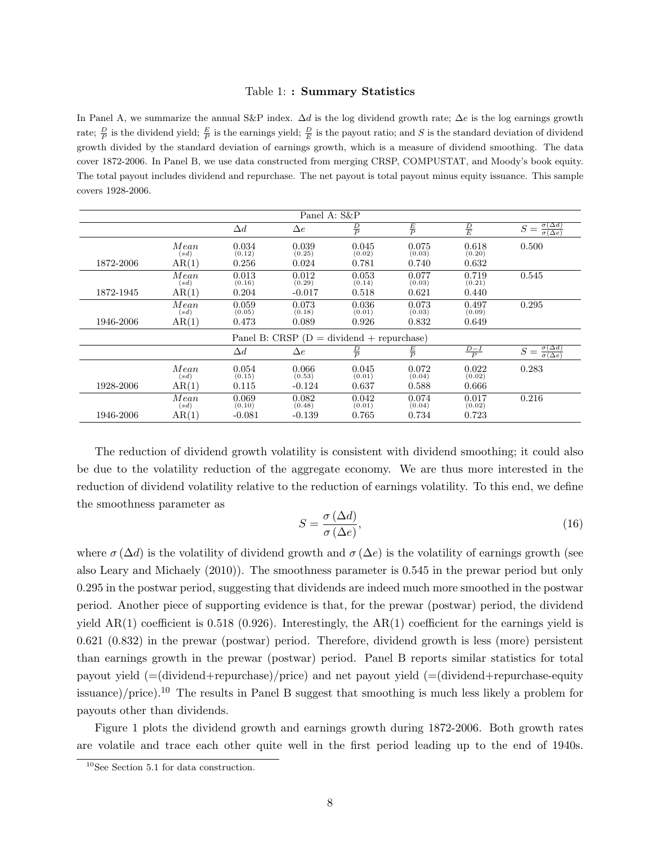#### Table 1: : Summary Statistics

In Panel A, we summarize the annual S&P index.  $\Delta d$  is the log dividend growth rate;  $\Delta e$  is the log earnings growth rate;  $\frac{D}{P}$  is the dividend yield;  $\frac{E}{P}$  is the earnings yield;  $\frac{D}{E}$  is the payout ratio; and S is the standard deviation of dividend growth divided by the standard deviation of earnings growth, which is a measure of dividend smoothing. The data cover 1872-2006. In Panel B, we use data constructed from merging CRSP, COMPUSTAT, and Moody's book equity. The total payout includes dividend and repurchase. The net payout is total payout minus equity issuance. This sample covers 1928-2006.

| Panel A: S&P |              |                 |                                                          |                 |                 |                 |                                                      |  |
|--------------|--------------|-----------------|----------------------------------------------------------|-----------------|-----------------|-----------------|------------------------------------------------------|--|
|              |              | $\Delta d$      | $\Delta e$                                               | $\frac{D}{P}$   | $\frac{E}{P}$   | $\frac{D}{E}$   | $\frac{\sigma(\Delta d)}{\sigma(\Delta e)}$<br>$S =$ |  |
|              | Mean<br>(sd) | 0.034<br>(0.12) | 0.039<br>(0.25)                                          | 0.045<br>(0.02) | 0.075<br>(0.03) | 0.618<br>(0.20) | 0.500                                                |  |
| 1872-2006    | AR(1)        | 0.256           | 0.024                                                    | 0.781           | 0.740           | 0.632           |                                                      |  |
|              | Mean<br>(sd) | 0.013<br>(0.16) | 0.012<br>(0.29)                                          | 0.053<br>(0.14) | 0.077<br>(0.03) | 0.719<br>(0.21) | 0.545                                                |  |
| 1872-1945    | AR(1)        | 0.204           | $-0.017$                                                 | 0.518           | 0.621           | 0.440           |                                                      |  |
|              | Mean<br>(sd) | 0.059<br>(0.05) | 0.073<br>(0.18)                                          | 0.036<br>(0.01) | 0.073<br>(0.03) | 0.497<br>(0.09) | 0.295                                                |  |
| 1946-2006    | AR(1)        | 0.473           | 0.089                                                    | 0.926           | 0.832           | 0.649           |                                                      |  |
|              |              |                 | Panel B: CRSP $(D = \text{dividend} + \text{reprchase})$ |                 |                 |                 |                                                      |  |
|              |              | $\Delta d$      | $\Delta e$                                               | $\frac{D}{P}$   | $\frac{E}{P}$   | $\frac{D-I}{P}$ | $S = \frac{\sigma(\Delta d)}{\sigma(\Delta e)}$      |  |
|              | Mean<br>(sd) | 0.054<br>(0.15) | 0.066<br>(0.53)                                          | 0.045<br>(0.01) | 0.072<br>(0.04) | 0.022<br>(0.02) | 0.283                                                |  |
| 1928-2006    | AR(1)        | 0.115           | $-0.124$                                                 | 0.637           | 0.588           | 0.666           |                                                      |  |
|              | Mean<br>(sd) | 0.069<br>(0.10) | 0.082<br>(0.48)                                          | 0.042<br>(0.01) | 0.074<br>(0.04) | 0.017<br>(0.02) | 0.216                                                |  |
| 1946-2006    | AR(1)        | $-0.081$        | $-0.139$                                                 | 0.765           | 0.734           | 0.723           |                                                      |  |

The reduction of dividend growth volatility is consistent with dividend smoothing; it could also be due to the volatility reduction of the aggregate economy. We are thus more interested in the reduction of dividend volatility relative to the reduction of earnings volatility. To this end, we define the smoothness parameter as

$$
S = \frac{\sigma (\Delta d)}{\sigma (\Delta e)},\tag{16}
$$

where  $\sigma(\Delta d)$  is the volatility of dividend growth and  $\sigma(\Delta e)$  is the volatility of earnings growth (see also Leary and Michaely (2010)). The smoothness parameter is 0.545 in the prewar period but only 0.295 in the postwar period, suggesting that dividends are indeed much more smoothed in the postwar period. Another piece of supporting evidence is that, for the prewar (postwar) period, the dividend yield  $AR(1)$  coefficient is 0.518 (0.926). Interestingly, the  $AR(1)$  coefficient for the earnings yield is 0.621 (0.832) in the prewar (postwar) period. Therefore, dividend growth is less (more) persistent than earnings growth in the prewar (postwar) period. Panel B reports similar statistics for total payout yield (=(dividend+repurchase)/price) and net payout yield (=(dividend+repurchase-equity issuance)/price).<sup>10</sup> The results in Panel B suggest that smoothing is much less likely a problem for payouts other than dividends.

Figure 1 plots the dividend growth and earnings growth during 1872-2006. Both growth rates are volatile and trace each other quite well in the first period leading up to the end of 1940s.

<sup>10</sup>See Section 5.1 for data construction.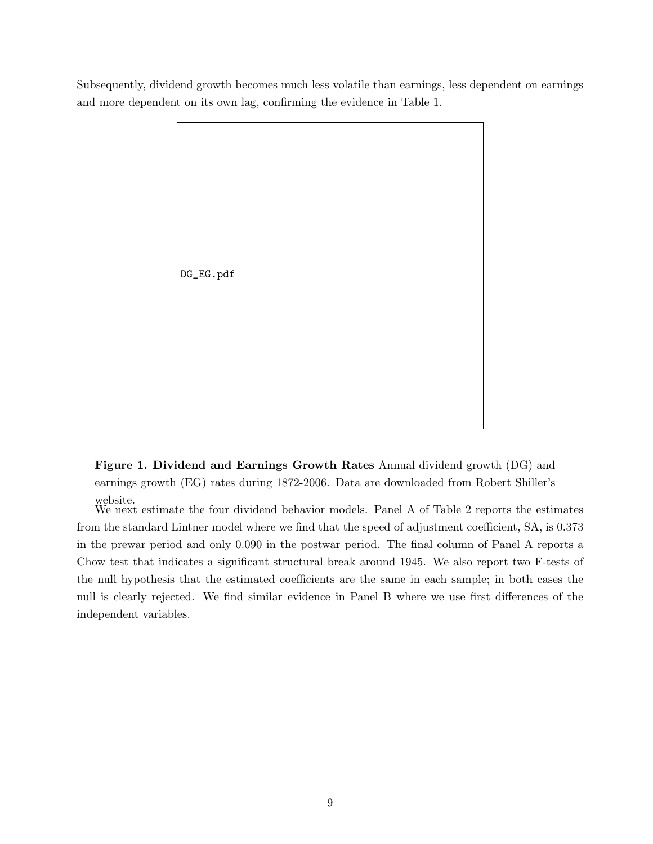Subsequently, dividend growth becomes much less volatile than earnings, less dependent on earnings and more dependent on its own lag, confirming the evidence in Table 1.



Figure 1. Dividend and Earnings Growth Rates Annual dividend growth (DG) and earnings growth (EG) rates during 1872-2006. Data are downloaded from Robert Shiller's website.

We next estimate the four dividend behavior models. Panel A of Table 2 reports the estimates from the standard Lintner model where we find that the speed of adjustment coefficient, SA, is 0.373 in the prewar period and only 0.090 in the postwar period. The final column of Panel A reports a Chow test that indicates a significant structural break around 1945. We also report two F-tests of the null hypothesis that the estimated coefficients are the same in each sample; in both cases the null is clearly rejected. We find similar evidence in Panel B where we use first differences of the independent variables.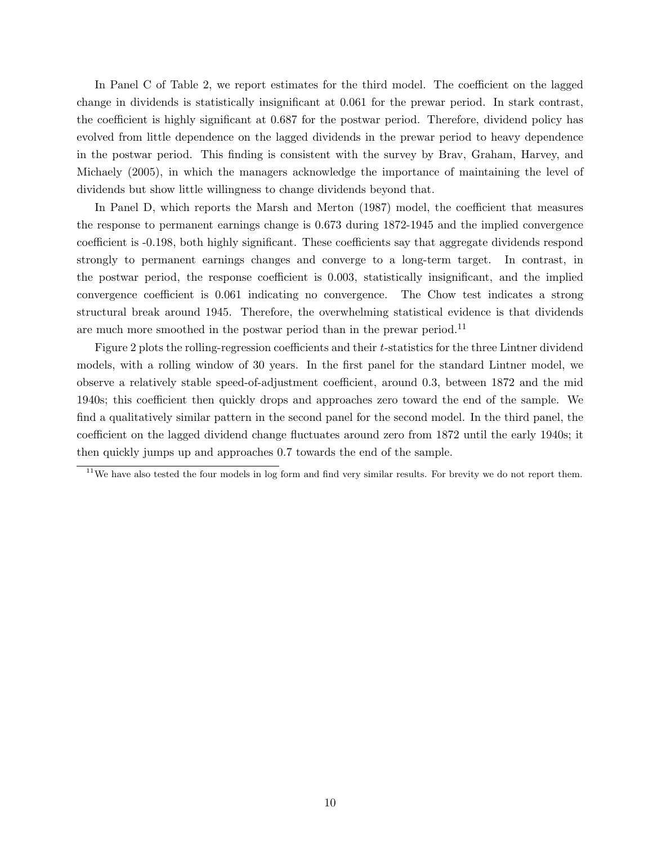In Panel C of Table 2, we report estimates for the third model. The coefficient on the lagged change in dividends is statistically insignificant at 0.061 for the prewar period. In stark contrast, the coefficient is highly significant at 0.687 for the postwar period. Therefore, dividend policy has evolved from little dependence on the lagged dividends in the prewar period to heavy dependence in the postwar period. This finding is consistent with the survey by Brav, Graham, Harvey, and Michaely (2005), in which the managers acknowledge the importance of maintaining the level of dividends but show little willingness to change dividends beyond that.

In Panel D, which reports the Marsh and Merton (1987) model, the coefficient that measures the response to permanent earnings change is 0.673 during 1872-1945 and the implied convergence coefficient is -0.198, both highly significant. These coefficients say that aggregate dividends respond strongly to permanent earnings changes and converge to a long-term target. In contrast, in the postwar period, the response coefficient is 0.003, statistically insignificant, and the implied convergence coefficient is 0.061 indicating no convergence. The Chow test indicates a strong structural break around 1945. Therefore, the overwhelming statistical evidence is that dividends are much more smoothed in the postwar period than in the prewar period.<sup>11</sup>

Figure 2 plots the rolling-regression coefficients and their t-statistics for the three Lintner dividend models, with a rolling window of 30 years. In the first panel for the standard Lintner model, we observe a relatively stable speed-of-adjustment coefficient, around 0.3, between 1872 and the mid 1940s; this coefficient then quickly drops and approaches zero toward the end of the sample. We find a qualitatively similar pattern in the second panel for the second model. In the third panel, the coefficient on the lagged dividend change fluctuates around zero from 1872 until the early 1940s; it then quickly jumps up and approaches 0.7 towards the end of the sample.

 $11$ We have also tested the four models in log form and find very similar results. For brevity we do not report them.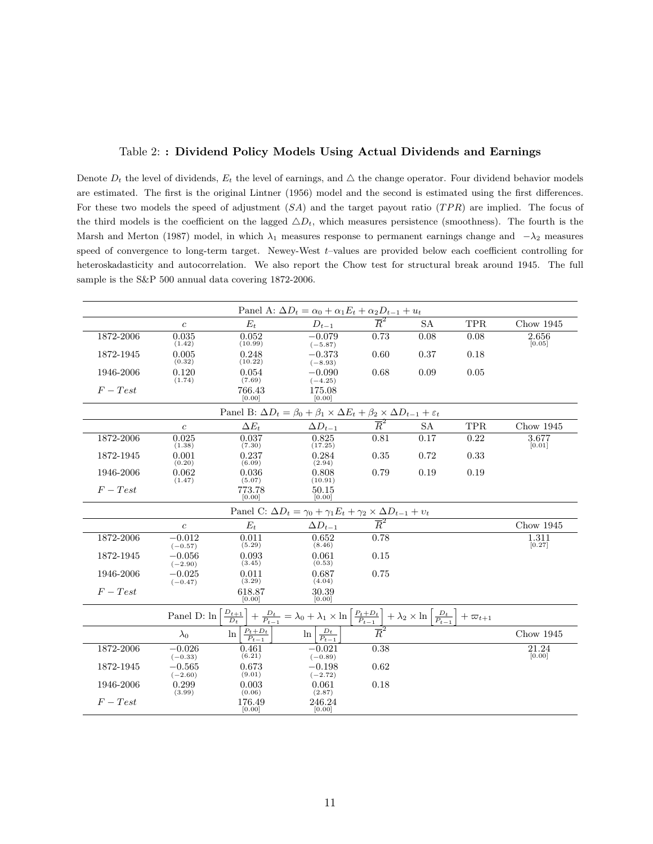### Table 2: : Dividend Policy Models Using Actual Dividends and Earnings

Denote  $D_t$  the level of dividends,  $E_t$  the level of earnings, and  $\Delta$  the change operator. Four dividend behavior models are estimated. The first is the original Lintner (1956) model and the second is estimated using the first differences. For these two models the speed of adjustment  $(SA)$  and the target payout ratio  $(TPR)$  are implied. The focus of the third models is the coefficient on the lagged  $\Delta D_t$ , which measures persistence (smoothness). The fourth is the Marsh and Merton (1987) model, in which  $\lambda_1$  measures response to permanent earnings change and  $-\lambda_2$  measures speed of convergence to long-term target. Newey-West t–values are provided below each coefficient controlling for heteroskadasticity and autocorrelation. We also report the Chow test for structural break around 1945. The full sample is the S&P 500 annual data covering 1872-2006.

|                                                                                                             | Panel A: $\Delta D_t = \alpha_0 + \alpha_1 E_t + \alpha_2 D_{t-1} + u_t$ |                                    |                                                                                                                                                                                                        |                             |           |            |                              |  |  |  |  |  |
|-------------------------------------------------------------------------------------------------------------|--------------------------------------------------------------------------|------------------------------------|--------------------------------------------------------------------------------------------------------------------------------------------------------------------------------------------------------|-----------------------------|-----------|------------|------------------------------|--|--|--|--|--|
|                                                                                                             | $\boldsymbol{c}$                                                         | $E_t$                              | $D_{t-1}$                                                                                                                                                                                              | $\overline{R}^2$            | <b>SA</b> | <b>TPR</b> | Chow $1945$                  |  |  |  |  |  |
| 1872-2006                                                                                                   | 0.035<br>(1.42)                                                          | 0.052<br>(10.99)                   | $-0.079$<br>$(-5.87)$                                                                                                                                                                                  | 0.73                        | 0.08      | 0.08       | 2.656<br>[0.05]              |  |  |  |  |  |
| 1872-1945                                                                                                   | 0.005<br>(0.32)                                                          | 0.248<br>(10.22)                   | $-0.373$<br>$(-8.93)$                                                                                                                                                                                  | 0.60                        | 0.37      | 0.18       |                              |  |  |  |  |  |
| 1946-2006                                                                                                   | 0.120<br>(1.74)                                                          | 0.054<br>(7.69)                    | $-0.090$<br>$(-4.25)$                                                                                                                                                                                  | 0.68                        | 0.09      | 0.05       |                              |  |  |  |  |  |
| $F-Test$                                                                                                    |                                                                          | 766.43<br>[0.00]                   | 175.08<br>[0.00]                                                                                                                                                                                       |                             |           |            |                              |  |  |  |  |  |
| Panel B: $\Delta D_t = \beta_0 + \beta_1 \times \Delta E_t + \beta_2 \times \Delta D_{t-1} + \varepsilon_t$ |                                                                          |                                    |                                                                                                                                                                                                        |                             |           |            |                              |  |  |  |  |  |
|                                                                                                             | $\boldsymbol{c}$                                                         | $\Delta E_t$                       | $\Delta D_{t-1}$                                                                                                                                                                                       | $\overline{R}^2$            | <b>SA</b> | TPR        | Chow $1945$                  |  |  |  |  |  |
| 1872-2006                                                                                                   | 0.025<br>(1.38)                                                          | 0.037<br>(7.30)                    | 0.825<br>(17.25)                                                                                                                                                                                       | 0.81                        | 0.17      | 0.22       | 3.677<br>[0.01]              |  |  |  |  |  |
| 1872-1945                                                                                                   | 0.001<br>(0.20)                                                          | 0.237<br>(6.09)                    | 0.284<br>(2.94)                                                                                                                                                                                        | 0.35                        | 0.72      | 0.33       |                              |  |  |  |  |  |
| 1946-2006                                                                                                   | 0.062<br>(1.47)                                                          | 0.036<br>(5.07)                    | 0.808<br>(10.91)                                                                                                                                                                                       | 0.79                        | 0.19      | 0.19       |                              |  |  |  |  |  |
| $F-Test$                                                                                                    |                                                                          | 773.78<br>[0.00]                   | 50.15<br>[0.00]                                                                                                                                                                                        |                             |           |            |                              |  |  |  |  |  |
|                                                                                                             |                                                                          |                                    | Panel C: $\Delta D_t = \gamma_0 + \gamma_1 E_t + \gamma_2 \times \Delta D_{t-1} + v_t$                                                                                                                 |                             |           |            |                              |  |  |  |  |  |
|                                                                                                             | $\boldsymbol{c}$                                                         | $E_t$                              | $\Delta D_{t-1}$                                                                                                                                                                                       | $\overline{R}^2$            |           |            | Chow 1945                    |  |  |  |  |  |
| 1872-2006                                                                                                   | $-0.012$<br>$(-0.57)$                                                    | 0.011<br>(5.29)                    | 0.652<br>(8.46)                                                                                                                                                                                        | 0.78                        |           |            | $1.\overline{311}$<br>[0.27] |  |  |  |  |  |
| 1872-1945                                                                                                   | $-0.056$<br>$(-2.90)$                                                    | 0.093<br>(3.45)                    | 0.061<br>(0.53)                                                                                                                                                                                        | 0.15                        |           |            |                              |  |  |  |  |  |
| 1946-2006                                                                                                   | $-0.025$<br>$(-0.47)$                                                    | 0.011<br>(3.29)                    | 0.687<br>(4.04)                                                                                                                                                                                        | 0.75                        |           |            |                              |  |  |  |  |  |
| $F-Test$                                                                                                    |                                                                          | 618.87<br>[0.00]                   | 30.39<br>[0.00]                                                                                                                                                                                        |                             |           |            |                              |  |  |  |  |  |
|                                                                                                             | Panel D: ln                                                              | $\frac{D_{t+1}}{D_t}$              | $+$ $\frac{D_{t}}{P_{t-1}}$ $=$ $\lambda_0$ $+$ $\lambda_1$ $\times$ $\ln\left[\frac{P_{t}+D_{t}}{P_{t-1}}\right]$ $+$ $\lambda_2$ $\times$ $\ln\left[\frac{D_{t}}{P_{t-1}}\right]$ $+$ $\varpi_{t+1}$ |                             |           |            |                              |  |  |  |  |  |
|                                                                                                             | $\lambda_0$                                                              | $\frac{P_t+D_t}{P_{t-1}}$<br>$\ln$ | $\frac{D_t}{P_{t-1}}$<br>$\ln$                                                                                                                                                                         | $\overline{\overline{R}^2}$ |           |            | Chow $1945$                  |  |  |  |  |  |
| 1872-2006                                                                                                   | $-0.026$<br>$(-0.33)$                                                    | 0.461<br>(6.21)                    | $-0.021$<br>$(-0.89)$                                                                                                                                                                                  | 0.38                        |           |            | 21.24<br>[0.00]              |  |  |  |  |  |
| 1872-1945                                                                                                   | $-0.565$<br>$(-2.60)$                                                    | 0.673<br>(9.01)                    | $-0.198$<br>$(-2.72)$                                                                                                                                                                                  | 0.62                        |           |            |                              |  |  |  |  |  |
| 1946-2006                                                                                                   | 0.299<br>(3.99)                                                          | 0.003<br>(0.06)                    | 0.061<br>(2.87)                                                                                                                                                                                        | 0.18                        |           |            |                              |  |  |  |  |  |
| $F-Test$                                                                                                    |                                                                          | 176.49<br>[0.00]                   | 246.24<br>[0.00]                                                                                                                                                                                       |                             |           |            |                              |  |  |  |  |  |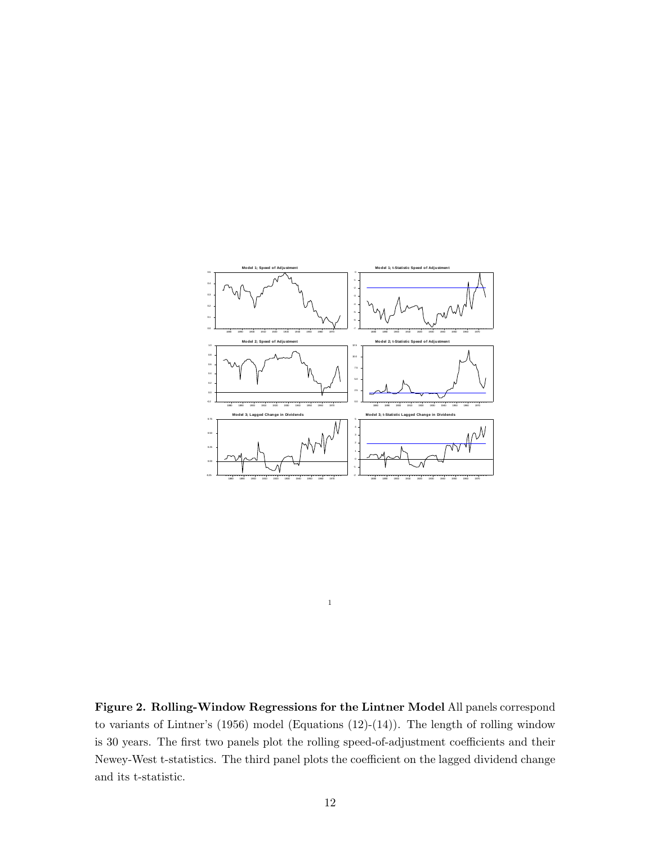

Figure 2. Rolling-Window Regressions for the Lintner Model All panels correspond to variants of Lintner's (1956) model (Equations (12)-(14)). The length of rolling window is 30 years. The first two panels plot the rolling speed-of-adjustment coefficients and their Newey-West t-statistics. The third panel plots the coefficient on the lagged dividend change and its t-statistic.

1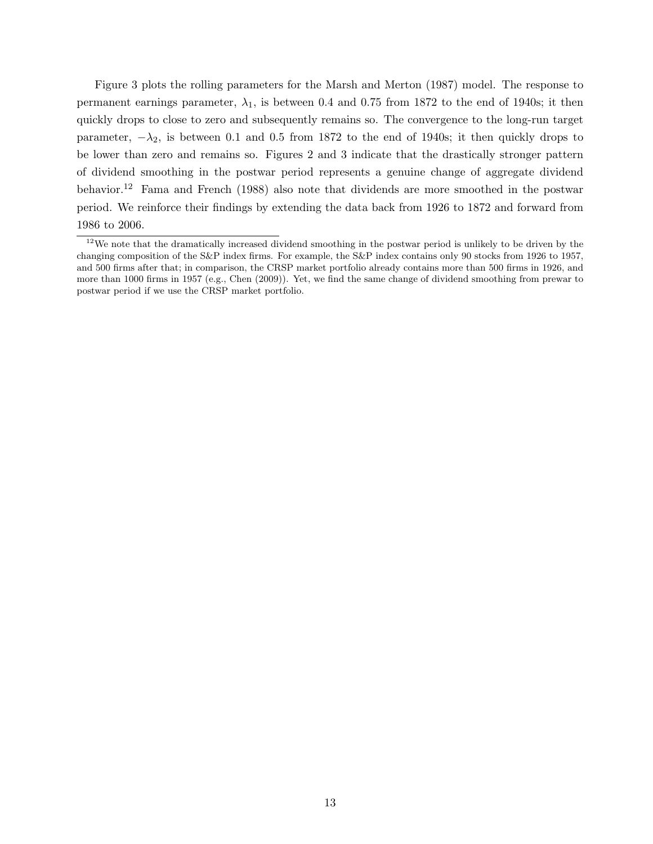Figure 3 plots the rolling parameters for the Marsh and Merton (1987) model. The response to permanent earnings parameter,  $\lambda_1$ , is between 0.4 and 0.75 from 1872 to the end of 1940s; it then quickly drops to close to zero and subsequently remains so. The convergence to the long-run target parameter,  $-\lambda_2$ , is between 0.1 and 0.5 from 1872 to the end of 1940s; it then quickly drops to be lower than zero and remains so. Figures 2 and 3 indicate that the drastically stronger pattern of dividend smoothing in the postwar period represents a genuine change of aggregate dividend behavior.<sup>12</sup> Fama and French (1988) also note that dividends are more smoothed in the postwar period. We reinforce their findings by extending the data back from 1926 to 1872 and forward from 1986 to 2006.

 $12\text{We note that the dramatically increased dividend smoothing in the postwar period is unlikely to be driven by the$ changing composition of the S&P index firms. For example, the S&P index contains only 90 stocks from 1926 to 1957, and 500 firms after that; in comparison, the CRSP market portfolio already contains more than 500 firms in 1926, and more than 1000 firms in 1957 (e.g., Chen (2009)). Yet, we find the same change of dividend smoothing from prewar to postwar period if we use the CRSP market portfolio.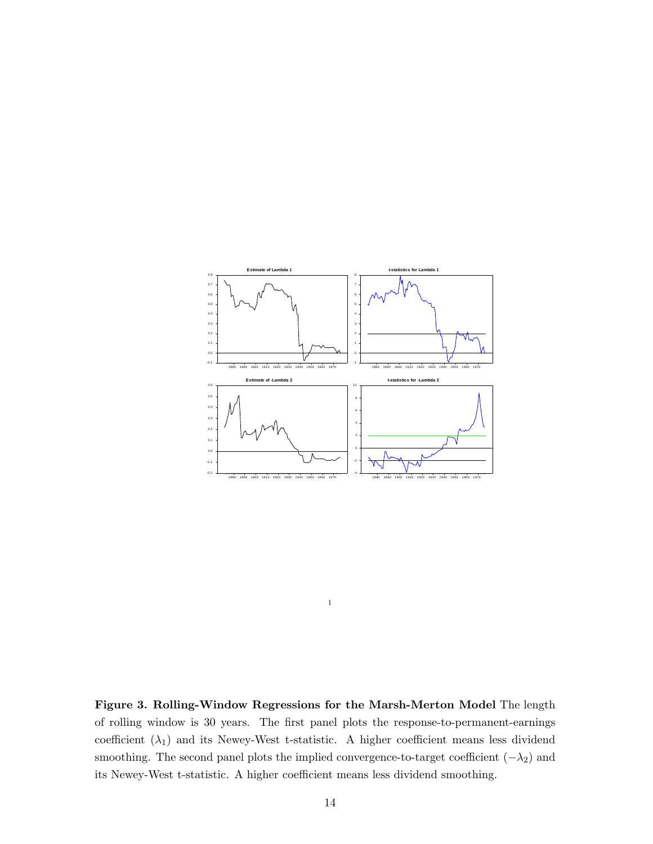

Figure 3. Rolling-Window Regressions for the Marsh-Merton Model The length of rolling window is 30 years. The first panel plots the response-to-permanent-earnings coefficient  $(\lambda_1)$  and its Newey-West t-statistic. A higher coefficient means less dividend smoothing. The second panel plots the implied convergence-to-target coefficient  $(-\lambda_2)$  and its Newey-West t-statistic. A higher coefficient means less dividend smoothing.

1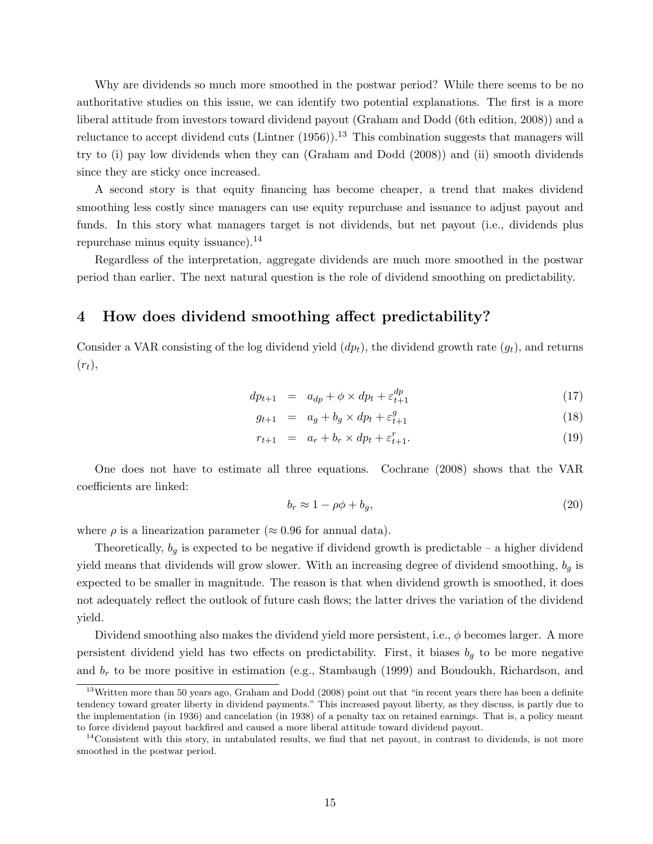Why are dividends so much more smoothed in the postwar period? While there seems to be no authoritative studies on this issue, we can identify two potential explanations. The first is a more liberal attitude from investors toward dividend payout (Graham and Dodd (6th edition, 2008)) and a reluctance to accept dividend cuts (Lintner  $(1956)$ ).<sup>13</sup> This combination suggests that managers will try to (i) pay low dividends when they can (Graham and Dodd (2008)) and (ii) smooth dividends since they are sticky once increased.

A second story is that equity financing has become cheaper, a trend that makes dividend smoothing less costly since managers can use equity repurchase and issuance to adjust payout and funds. In this story what managers target is not dividends, but net payout (i.e., dividends plus repurchase minus equity issuance). $^{14}$ 

Regardless of the interpretation, aggregate dividends are much more smoothed in the postwar period than earlier. The next natural question is the role of dividend smoothing on predictability.

### 4 How does dividend smoothing affect predictability?

Consider a VAR consisting of the log dividend yield  $(dp_t)$ , the dividend growth rate  $(q_t)$ , and returns  $(r_t),$ 

$$
dp_{t+1} = a_{dp} + \phi \times dp_t + \varepsilon_{t+1}^{dp} \tag{17}
$$

$$
g_{t+1} = a_g + b_g \times dp_t + \varepsilon_{t+1}^g \tag{18}
$$

$$
r_{t+1} = a_r + b_r \times dp_t + \varepsilon_{t+1}^r. \tag{19}
$$

One does not have to estimate all three equations. Cochrane (2008) shows that the VAR coefficients are linked:

$$
b_r \approx 1 - \rho \phi + b_g,\tag{20}
$$

where  $\rho$  is a linearization parameter ( $\approx 0.96$  for annual data).

Theoretically,  $b_g$  is expected to be negative if dividend growth is predictable – a higher dividend yield means that dividends will grow slower. With an increasing degree of dividend smoothing,  $b_g$  is expected to be smaller in magnitude. The reason is that when dividend growth is smoothed, it does not adequately reflect the outlook of future cash flows; the latter drives the variation of the dividend yield.

Dividend smoothing also makes the dividend yield more persistent, i.e.,  $\phi$  becomes larger. A more persistent dividend yield has two effects on predictability. First, it biases  $b<sub>g</sub>$  to be more negative and  $b_r$  to be more positive in estimation (e.g., Stambaugh (1999) and Boudoukh, Richardson, and

 $13$ Written more than 50 years ago, Graham and Dodd (2008) point out that "in recent years there has been a definite tendency toward greater liberty in dividend payments." This increased payout liberty, as they discuss, is partly due to the implementation (in 1936) and cancelation (in 1938) of a penalty tax on retained earnings. That is, a policy meant to force dividend payout backfired and caused a more liberal attitude toward dividend payout.

 $14$ Consistent with this story, in untabulated results, we find that net payout, in contrast to dividends, is not more smoothed in the postwar period.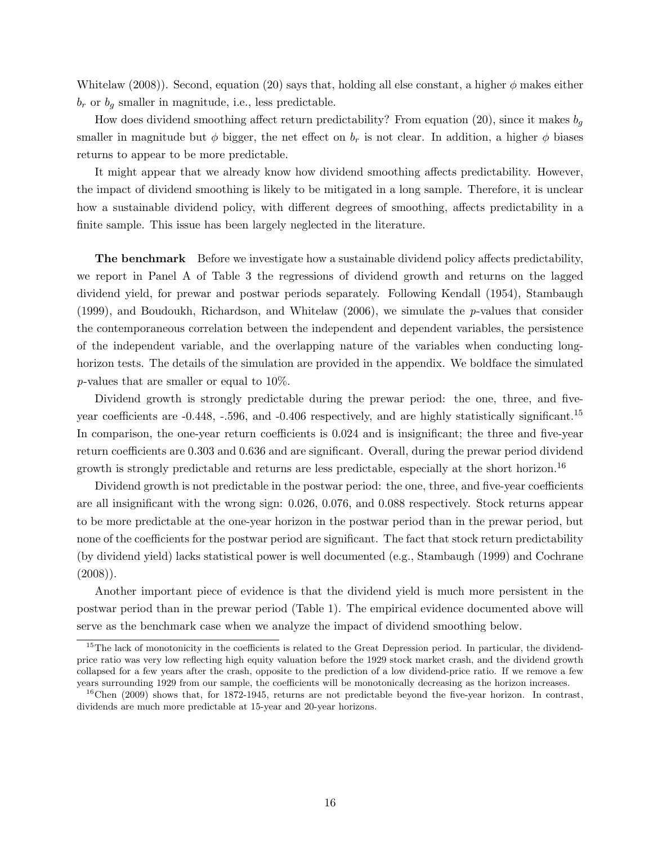Whitelaw (2008)). Second, equation (20) says that, holding all else constant, a higher  $\phi$  makes either  $b_r$  or  $b_q$  smaller in magnitude, i.e., less predictable.

How does dividend smoothing affect return predictability? From equation (20), since it makes  $b_q$ smaller in magnitude but  $\phi$  bigger, the net effect on  $b_r$  is not clear. In addition, a higher  $\phi$  biases returns to appear to be more predictable.

It might appear that we already know how dividend smoothing affects predictability. However, the impact of dividend smoothing is likely to be mitigated in a long sample. Therefore, it is unclear how a sustainable dividend policy, with different degrees of smoothing, affects predictability in a finite sample. This issue has been largely neglected in the literature.

**The benchmark** Before we investigate how a sustainable dividend policy affects predictability, we report in Panel A of Table 3 the regressions of dividend growth and returns on the lagged dividend yield, for prewar and postwar periods separately. Following Kendall (1954), Stambaugh (1999), and Boudoukh, Richardson, and Whitelaw (2006), we simulate the p-values that consider the contemporaneous correlation between the independent and dependent variables, the persistence of the independent variable, and the overlapping nature of the variables when conducting longhorizon tests. The details of the simulation are provided in the appendix. We boldface the simulated p-values that are smaller or equal to 10%.

Dividend growth is strongly predictable during the prewar period: the one, three, and fiveyear coefficients are  $-0.448$ ,  $-.596$ , and  $-0.406$  respectively, and are highly statistically significant.<sup>15</sup> In comparison, the one-year return coefficients is  $0.024$  and is insignificant; the three and five-year return coefficients are 0.303 and 0.636 and are significant. Overall, during the prewar period dividend growth is strongly predictable and returns are less predictable, especially at the short horizon.<sup>16</sup>

Dividend growth is not predictable in the postwar period: the one, three, and five-year coefficients are all insignificant with the wrong sign: 0.026, 0.076, and 0.088 respectively. Stock returns appear to be more predictable at the one-year horizon in the postwar period than in the prewar period, but none of the coefficients for the postwar period are significant. The fact that stock return predictability (by dividend yield) lacks statistical power is well documented (e.g., Stambaugh (1999) and Cochrane  $(2008)$ .

Another important piece of evidence is that the dividend yield is much more persistent in the postwar period than in the prewar period (Table 1). The empirical evidence documented above will serve as the benchmark case when we analyze the impact of dividend smoothing below.

<sup>&</sup>lt;sup>15</sup>The lack of monotonicity in the coefficients is related to the Great Depression period. In particular, the dividendprice ratio was very low reflecting high equity valuation before the 1929 stock market crash, and the dividend growth collapsed for a few years after the crash, opposite to the prediction of a low dividend-price ratio. If we remove a few years surrounding 1929 from our sample, the coefficients will be monotonically decreasing as the horizon increases.

 $^{16}$ Chen (2009) shows that, for 1872-1945, returns are not predictable beyond the five-year horizon. In contrast, dividends are much more predictable at 15-year and 20-year horizons.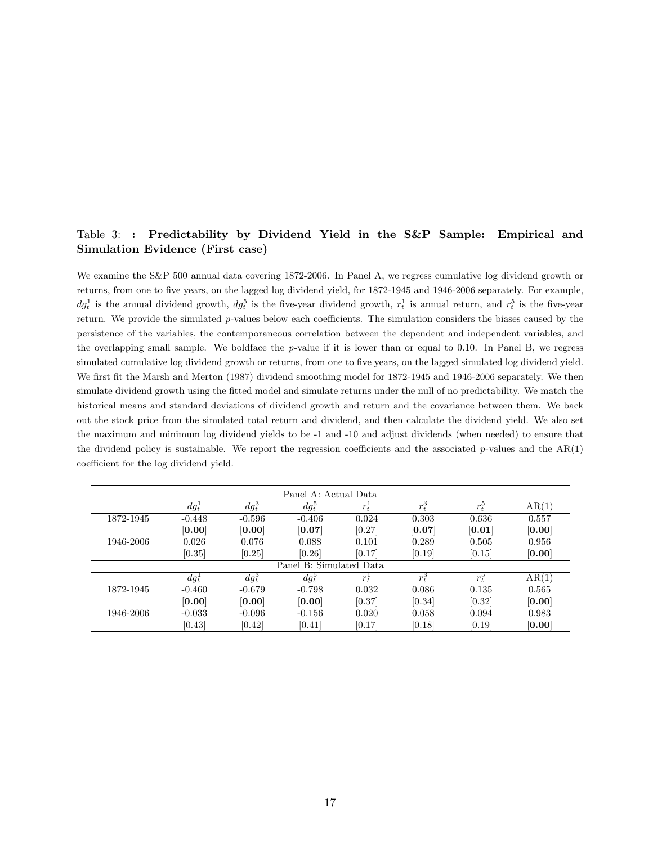### Table 3: : Predictability by Dividend Yield in the S&P Sample: Empirical and Simulation Evidence (First case)

We examine the S&P 500 annual data covering 1872-2006. In Panel A, we regress cumulative log dividend growth or returns, from one to five years, on the lagged log dividend yield, for 1872-1945 and 1946-2006 separately. For example,  $dg_t^1$  is the annual dividend growth,  $dg_t^5$  is the five-year dividend growth,  $r_t^1$  is annual return, and  $r_t^5$  is the five-year return. We provide the simulated p-values below each coefficients. The simulation considers the biases caused by the persistence of the variables, the contemporaneous correlation between the dependent and independent variables, and the overlapping small sample. We boldface the  $p$ -value if it is lower than or equal to 0.10. In Panel B, we regress simulated cumulative log dividend growth or returns, from one to five years, on the lagged simulated log dividend yield. We first fit the Marsh and Merton (1987) dividend smoothing model for 1872-1945 and 1946-2006 separately. We then simulate dividend growth using the fitted model and simulate returns under the null of no predictability. We match the historical means and standard deviations of dividend growth and return and the covariance between them. We back out the stock price from the simulated total return and dividend, and then calculate the dividend yield. We also set the maximum and minimum log dividend yields to be -1 and -10 and adjust dividends (when needed) to ensure that the dividend policy is sustainable. We report the regression coefficients and the associated  $p$ -values and the  $AR(1)$ coefficient for the log dividend yield.

| Panel A: Actual Data |          |          |                         |                      |         |               |        |  |  |  |
|----------------------|----------|----------|-------------------------|----------------------|---------|---------------|--------|--|--|--|
|                      | $dq_t^1$ | $dg_t^3$ | $dg_t^{\rm b}$          | $r_{t}$ <sup>+</sup> | $r_t^3$ | $r_t^{\rm o}$ | AR(1)  |  |  |  |
| 1872-1945            | $-0.448$ | $-0.596$ | $-0.406$                | 0.024                | 0.303   | 0.636         | 0.557  |  |  |  |
|                      | [0.00]   | [0.00]   | [0.07]                  | [0.27]               | [0.07]  | [0.01]        | [0.00] |  |  |  |
| 1946-2006            | 0.026    | 0.076    | 0.088                   | 0.101                | 0.289   | 0.505         | 0.956  |  |  |  |
|                      | [0.35]   | [0.25]   | [0.26]                  | [0.17]               | [0.19]  | [0.15]        | [0.00] |  |  |  |
|                      |          |          | Panel B: Simulated Data |                      |         |               |        |  |  |  |
|                      | $dg_t^1$ | $dg_t^3$ | $dg_t^{\circ}$          | $r_{\star}$          | $r_t^3$ | $r_t^5$       | AR(1)  |  |  |  |
| 1872-1945            | $-0.460$ | $-0.679$ | $-0.798$                | 0.032                | 0.086   | 0.135         | 0.565  |  |  |  |
|                      | [0.00]   | [0.00]   | [0.00]                  | [0.37]               | [0.34]  | [0.32]        | [0.00] |  |  |  |
| 1946-2006            | $-0.033$ | $-0.096$ | $-0.156$                | 0.020                | 0.058   | 0.094         | 0.983  |  |  |  |
|                      | [0.43]   | [0.42]   | [0.41]                  | [0.17]               | [0.18]  | [0.19]        | [0.00] |  |  |  |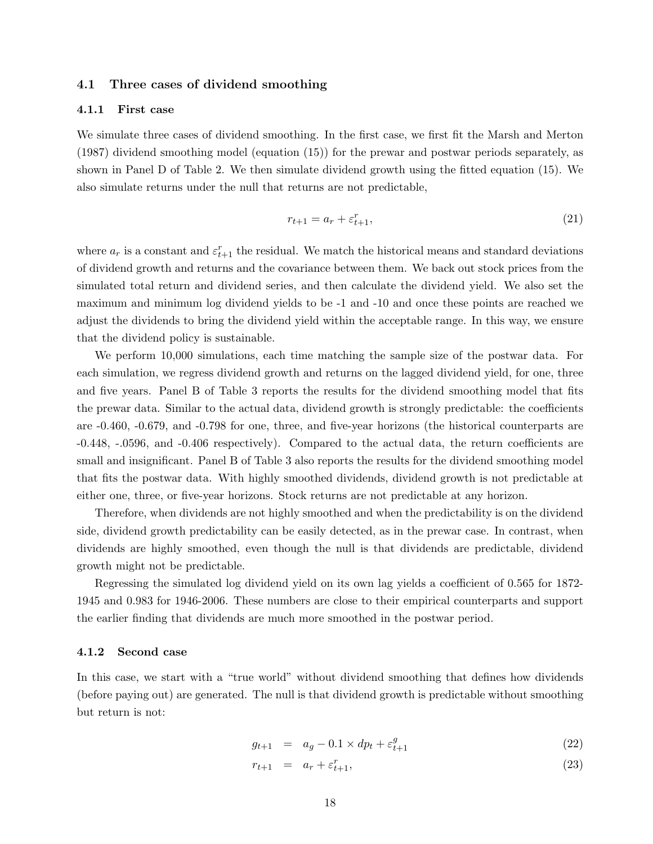### 4.1 Three cases of dividend smoothing

### 4.1.1 First case

We simulate three cases of dividend smoothing. In the first case, we first fit the Marsh and Merton (1987) dividend smoothing model (equation (15)) for the prewar and postwar periods separately, as shown in Panel D of Table 2. We then simulate dividend growth using the fitted equation (15). We also simulate returns under the null that returns are not predictable,

$$
r_{t+1} = a_r + \varepsilon_{t+1}^r,\tag{21}
$$

where  $a_r$  is a constant and  $\varepsilon_{t+1}^r$  the residual. We match the historical means and standard deviations of dividend growth and returns and the covariance between them. We back out stock prices from the simulated total return and dividend series, and then calculate the dividend yield. We also set the maximum and minimum log dividend yields to be -1 and -10 and once these points are reached we adjust the dividends to bring the dividend yield within the acceptable range. In this way, we ensure that the dividend policy is sustainable.

We perform 10,000 simulations, each time matching the sample size of the postwar data. For each simulation, we regress dividend growth and returns on the lagged dividend yield, for one, three and five years. Panel B of Table 3 reports the results for the dividend smoothing model that fits the prewar data. Similar to the actual data, dividend growth is strongly predictable: the coefficients are -0.460, -0.679, and -0.798 for one, three, and five-year horizons (the historical counterparts are -0.448, -.0596, and -0.406 respectively). Compared to the actual data, the return coefficients are small and insignificant. Panel B of Table 3 also reports the results for the dividend smoothing model that fits the postwar data. With highly smoothed dividends, dividend growth is not predictable at either one, three, or five-year horizons. Stock returns are not predictable at any horizon.

Therefore, when dividends are not highly smoothed and when the predictability is on the dividend side, dividend growth predictability can be easily detected, as in the prewar case. In contrast, when dividends are highly smoothed, even though the null is that dividends are predictable, dividend growth might not be predictable.

Regressing the simulated log dividend yield on its own lag yields a coefficient of 0.565 for 1872- 1945 and 0.983 for 1946-2006. These numbers are close to their empirical counterparts and support the earlier finding that dividends are much more smoothed in the postwar period.

### 4.1.2 Second case

In this case, we start with a "true world" without dividend smoothing that defines how dividends (before paying out) are generated. The null is that dividend growth is predictable without smoothing but return is not:

$$
g_{t+1} = a_g - 0.1 \times dp_t + \varepsilon_{t+1}^g \tag{22}
$$

$$
r_{t+1} = a_r + \varepsilon_{t+1}^r, \tag{23}
$$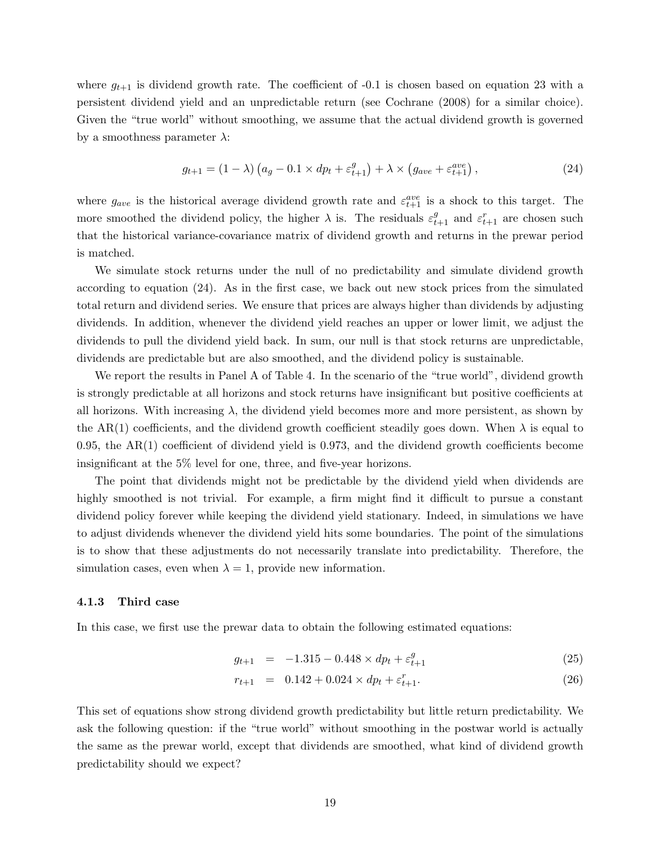where  $g_{t+1}$  is dividend growth rate. The coefficient of -0.1 is chosen based on equation 23 with a persistent dividend yield and an unpredictable return (see Cochrane (2008) for a similar choice). Given the "true world" without smoothing, we assume that the actual dividend growth is governed by a smoothness parameter  $\lambda$ :

$$
g_{t+1} = (1 - \lambda) \left( a_g - 0.1 \times dp_t + \varepsilon_{t+1}^g \right) + \lambda \times \left( g_{ave} + \varepsilon_{t+1}^{ave} \right), \tag{24}
$$

where  $g_{ave}$  is the historical average dividend growth rate and  $\varepsilon_{t+1}^{ave}$  is a shock to this target. The more smoothed the dividend policy, the higher  $\lambda$  is. The residuals  $\varepsilon_{t+1}^g$  and  $\varepsilon_{t+1}^r$  are chosen such that the historical variance-covariance matrix of dividend growth and returns in the prewar period is matched.

We simulate stock returns under the null of no predictability and simulate dividend growth according to equation (24). As in the first case, we back out new stock prices from the simulated total return and dividend series. We ensure that prices are always higher than dividends by adjusting dividends. In addition, whenever the dividend yield reaches an upper or lower limit, we adjust the dividends to pull the dividend yield back. In sum, our null is that stock returns are unpredictable, dividends are predictable but are also smoothed, and the dividend policy is sustainable.

We report the results in Panel A of Table 4. In the scenario of the "true world", dividend growth is strongly predictable at all horizons and stock returns have insignificant but positive coefficients at all horizons. With increasing  $\lambda$ , the dividend yield becomes more and more persistent, as shown by the AR(1) coefficients, and the dividend growth coefficient steadily goes down. When  $\lambda$  is equal to 0.95, the  $AR(1)$  coefficient of dividend yield is 0.973, and the dividend growth coefficients become insignificant at the 5% level for one, three, and five-year horizons.

The point that dividends might not be predictable by the dividend yield when dividends are highly smoothed is not trivial. For example, a firm might find it difficult to pursue a constant dividend policy forever while keeping the dividend yield stationary. Indeed, in simulations we have to adjust dividends whenever the dividend yield hits some boundaries. The point of the simulations is to show that these adjustments do not necessarily translate into predictability. Therefore, the simulation cases, even when  $\lambda = 1$ , provide new information.

### 4.1.3 Third case

In this case, we first use the prewar data to obtain the following estimated equations:

$$
g_{t+1} = -1.315 - 0.448 \times dp_t + \varepsilon_{t+1}^g \tag{25}
$$

$$
r_{t+1} = 0.142 + 0.024 \times dp_t + \varepsilon_{t+1}^r. \tag{26}
$$

This set of equations show strong dividend growth predictability but little return predictability. We ask the following question: if the "true world" without smoothing in the postwar world is actually the same as the prewar world, except that dividends are smoothed, what kind of dividend growth predictability should we expect?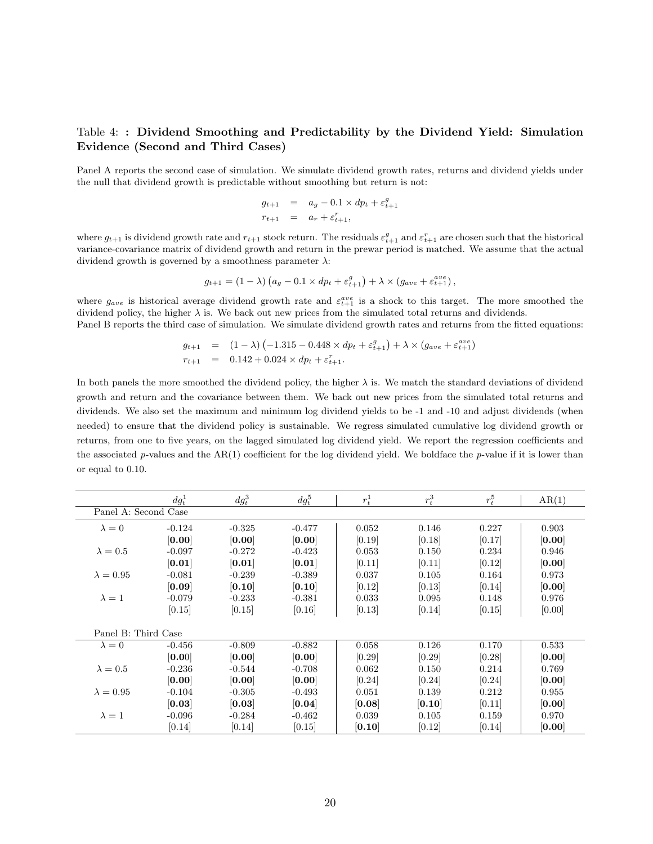### Table 4: : Dividend Smoothing and Predictability by the Dividend Yield: Simulation Evidence (Second and Third Cases)

Panel A reports the second case of simulation. We simulate dividend growth rates, returns and dividend yields under the null that dividend growth is predictable without smoothing but return is not:

$$
g_{t+1} = a_g - 0.1 \times dp_t + \varepsilon_{t+1}^g
$$
  

$$
r_{t+1} = a_r + \varepsilon_{t+1}^r,
$$

where  $g_{t+1}$  is dividend growth rate and  $r_{t+1}$  stock return. The residuals  $\varepsilon_{t+1}^g$  and  $\varepsilon_{t+1}^r$  are chosen such that the historical variance-covariance matrix of dividend growth and return in the prewar period is matched. We assume that the actual dividend growth is governed by a smoothness parameter  $\lambda$ :

$$
g_{t+1} = (1 - \lambda) \left( a_g - 0.1 \times dp_t + \varepsilon_{t+1}^g \right) + \lambda \times (g_{ave} + \varepsilon_{t+1}^{ave}),
$$

where  $g_{ave}$  is historical average dividend growth rate and  $\varepsilon_{t+1}^{ave}$  is a shock to this target. The more smoothed the dividend policy, the higher  $\lambda$  is. We back out new prices from the simulated total returns and dividends. Panel B reports the third case of simulation. We simulate dividend growth rates and returns from the fitted equations:

$$
g_{t+1} = (1 - \lambda) (-1.315 - 0.448 \times dp_t + \varepsilon_{t+1}^g) + \lambda \times (g_{ave} + \varepsilon_{t+1}^{ave})
$$
  
\n
$$
r_{t+1} = 0.142 + 0.024 \times dp_t + \varepsilon_{t+1}^r.
$$

In both panels the more smoothed the dividend policy, the higher  $\lambda$  is. We match the standard deviations of dividend growth and return and the covariance between them. We back out new prices from the simulated total returns and dividends. We also set the maximum and minimum log dividend yields to be -1 and -10 and adjust dividends (when needed) to ensure that the dividend policy is sustainable. We regress simulated cumulative log dividend growth or returns, from one to five years, on the lagged simulated log dividend yield. We report the regression coefficients and the associated p-values and the  $AR(1)$  coefficient for the log dividend yield. We boldface the p-value if it is lower than or equal to 0.10.

|                      | $dg_t^1$ | $dg_t^3$ | $dg_t^5$ | $r_t^1$ | $r_t^3$ | $r_t^5$ | AR(1)  |
|----------------------|----------|----------|----------|---------|---------|---------|--------|
| Panel A: Second Case |          |          |          |         |         |         |        |
| $\lambda = 0$        | $-0.124$ | $-0.325$ | $-0.477$ | 0.052   | 0.146   | 0.227   | 0.903  |
|                      | [0.00]   | [0.00]   | [0.00]   | [0.19]  | [0.18]  | [0.17]  | [0.00] |
| $\lambda = 0.5$      | $-0.097$ | $-0.272$ | $-0.423$ | 0.053   | 0.150   | 0.234   | 0.946  |
|                      | [0.01]   | [0.01]   | [0.01]   | [0.11]  | [0.11]  | [0.12]  | [0.00] |
| $\lambda = 0.95$     | $-0.081$ | $-0.239$ | $-0.389$ | 0.037   | 0.105   | 0.164   | 0.973  |
|                      | [0.09]   | [0.10]   | [0.10]   | [0.12]  | [0.13]  | [0.14]  | [0.00] |
| $\lambda = 1$        | $-0.079$ | $-0.233$ | $-0.381$ | 0.033   | 0.095   | 0.148   | 0.976  |
|                      | [0.15]   | [0.15]   | [0.16]   | [0.13]  | [0.14]  | [0.15]  | [0.00] |
|                      |          |          |          |         |         |         |        |
| Panel B: Third Case  |          |          |          |         |         |         |        |
| $\lambda = 0$        | $-0.456$ | $-0.809$ | $-0.882$ | 0.058   | 0.126   | 0.170   | 0.533  |
|                      | [0.00]   | [0.00]   | [0.00]   | [0.29]  | [0.29]  | [0.28]  | [0.00] |
| $\lambda = 0.5$      | $-0.236$ | $-0.544$ | $-0.708$ | 0.062   | 0.150   | 0.214   | 0.769  |
|                      | [0.00]   | [0.00]   | [0.00]   | [0.24]  | [0.24]  | [0.24]  | [0.00] |
| $\lambda = 0.95$     | $-0.104$ | $-0.305$ | $-0.493$ | 0.051   | 0.139   | 0.212   | 0.955  |
|                      | [0.03]   | [0.03]   | [0.04]   | [0.08]  | [0.10]  | [0.11]  | [0.00] |
| $\lambda = 1$        | $-0.096$ | $-0.284$ | $-0.462$ | 0.039   | 0.105   | 0.159   | 0.970  |
|                      | [0.14]   | [0.14]   | [0.15]   | [0.10]  | [0.12]  | [0.14]  | [0.00] |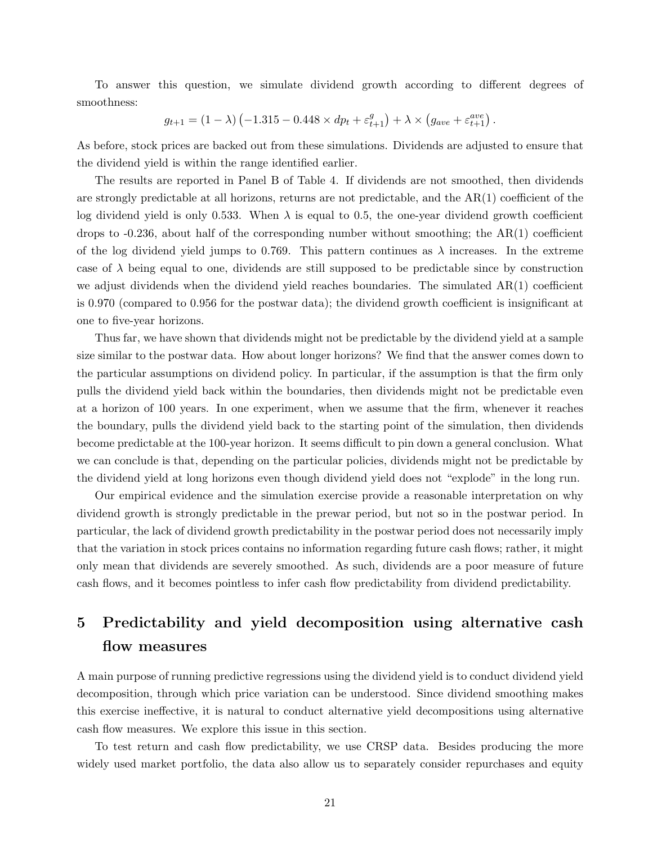To answer this question, we simulate dividend growth according to different degrees of smoothness:

$$
g_{t+1} = (1 - \lambda) \left( -1.315 - 0.448 \times dp_t + \varepsilon_{t+1}^g \right) + \lambda \times \left( g_{ave} + \varepsilon_{t+1}^{ave} \right).
$$

As before, stock prices are backed out from these simulations. Dividends are adjusted to ensure that the dividend yield is within the range identified earlier.

The results are reported in Panel B of Table 4. If dividends are not smoothed, then dividends are strongly predictable at all horizons, returns are not predictable, and the AR(1) coefficient of the log dividend yield is only 0.533. When  $\lambda$  is equal to 0.5, the one-year dividend growth coefficient drops to  $-0.236$ , about half of the corresponding number without smoothing; the  $AR(1)$  coefficient of the log dividend yield jumps to 0.769. This pattern continues as  $\lambda$  increases. In the extreme case of  $\lambda$  being equal to one, dividends are still supposed to be predictable since by construction we adjust dividends when the dividend yield reaches boundaries. The simulated  $AR(1)$  coefficient is 0.970 (compared to 0.956 for the postwar data); the dividend growth coefficient is insignificant at one to five-year horizons.

Thus far, we have shown that dividends might not be predictable by the dividend yield at a sample size similar to the postwar data. How about longer horizons? We find that the answer comes down to the particular assumptions on dividend policy. In particular, if the assumption is that the firm only pulls the dividend yield back within the boundaries, then dividends might not be predictable even at a horizon of 100 years. In one experiment, when we assume that the firm, whenever it reaches the boundary, pulls the dividend yield back to the starting point of the simulation, then dividends become predictable at the 100-year horizon. It seems difficult to pin down a general conclusion. What we can conclude is that, depending on the particular policies, dividends might not be predictable by the dividend yield at long horizons even though dividend yield does not "explode" in the long run.

Our empirical evidence and the simulation exercise provide a reasonable interpretation on why dividend growth is strongly predictable in the prewar period, but not so in the postwar period. In particular, the lack of dividend growth predictability in the postwar period does not necessarily imply that the variation in stock prices contains no information regarding future cash flows; rather, it might only mean that dividends are severely smoothed. As such, dividends are a poor measure of future cash flows, and it becomes pointless to infer cash flow predictability from dividend predictability.

## 5 Predictability and yield decomposition using alternative cash flow measures

A main purpose of running predictive regressions using the dividend yield is to conduct dividend yield decomposition, through which price variation can be understood. Since dividend smoothing makes this exercise ineffective, it is natural to conduct alternative yield decompositions using alternative cash flow measures. We explore this issue in this section.

To test return and cash flow predictability, we use CRSP data. Besides producing the more widely used market portfolio, the data also allow us to separately consider repurchases and equity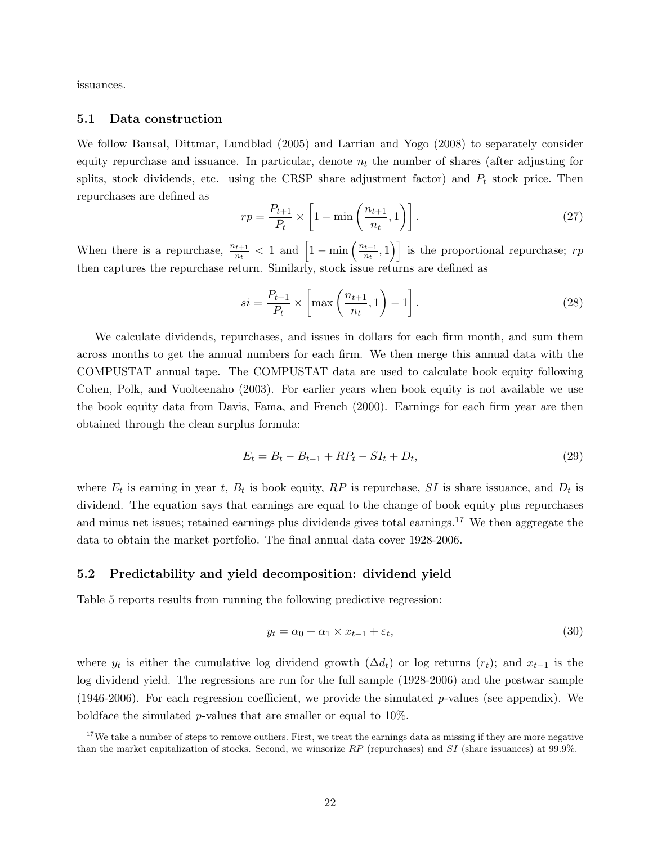issuances.

### 5.1 Data construction

We follow Bansal, Dittmar, Lundblad (2005) and Larrian and Yogo (2008) to separately consider equity repurchase and issuance. In particular, denote  $n_t$  the number of shares (after adjusting for splits, stock dividends, etc. using the CRSP share adjustment factor) and  $P_t$  stock price. Then repurchases are defined as

$$
rp = \frac{P_{t+1}}{P_t} \times \left[1 - \min\left(\frac{n_{t+1}}{n_t}, 1\right)\right].
$$
\n(27)

When there is a repurchase,  $\frac{n_{t+1}}{n_t} < 1$  and  $\left[1 - \min\left(\frac{n_{t+1}}{n_t}\right)\right]$  $\left[\frac{t+1}{n_t},1\right)$  is the proportional repurchase;  $rp$ then captures the repurchase return. Similarly, stock issue returns are defined as

$$
si = \frac{P_{t+1}}{P_t} \times \left[ \max\left(\frac{n_{t+1}}{n_t}, 1\right) - 1 \right]. \tag{28}
$$

We calculate dividends, repurchases, and issues in dollars for each firm month, and sum them across months to get the annual numbers for each firm. We then merge this annual data with the COMPUSTAT annual tape. The COMPUSTAT data are used to calculate book equity following Cohen, Polk, and Vuolteenaho (2003). For earlier years when book equity is not available we use the book equity data from Davis, Fama, and French (2000). Earnings for each firm year are then obtained through the clean surplus formula:

$$
E_t = B_t - B_{t-1} + RP_t - SI_t + D_t, \t\t(29)
$$

where  $E_t$  is earning in year t,  $B_t$  is book equity,  $RP$  is repurchase, SI is share issuance, and  $D_t$  is dividend. The equation says that earnings are equal to the change of book equity plus repurchases and minus net issues; retained earnings plus dividends gives total earnings.<sup>17</sup> We then aggregate the data to obtain the market portfolio. The final annual data cover 1928-2006.

### 5.2 Predictability and yield decomposition: dividend yield

Table 5 reports results from running the following predictive regression:

$$
y_t = \alpha_0 + \alpha_1 \times x_{t-1} + \varepsilon_t,\tag{30}
$$

where  $y_t$  is either the cumulative log dividend growth  $(\Delta d_t)$  or log returns  $(r_t)$ ; and  $x_{t-1}$  is the log dividend yield. The regressions are run for the full sample (1928-2006) and the postwar sample (1946-2006). For each regression coefficient, we provide the simulated  $p$ -values (see appendix). We boldface the simulated  $p$ -values that are smaller or equal to 10%.

 $17$ We take a number of steps to remove outliers. First, we treat the earnings data as missing if they are more negative than the market capitalization of stocks. Second, we winsorize  $RP$  (repurchases) and  $SI$  (share issuances) at 99.9%.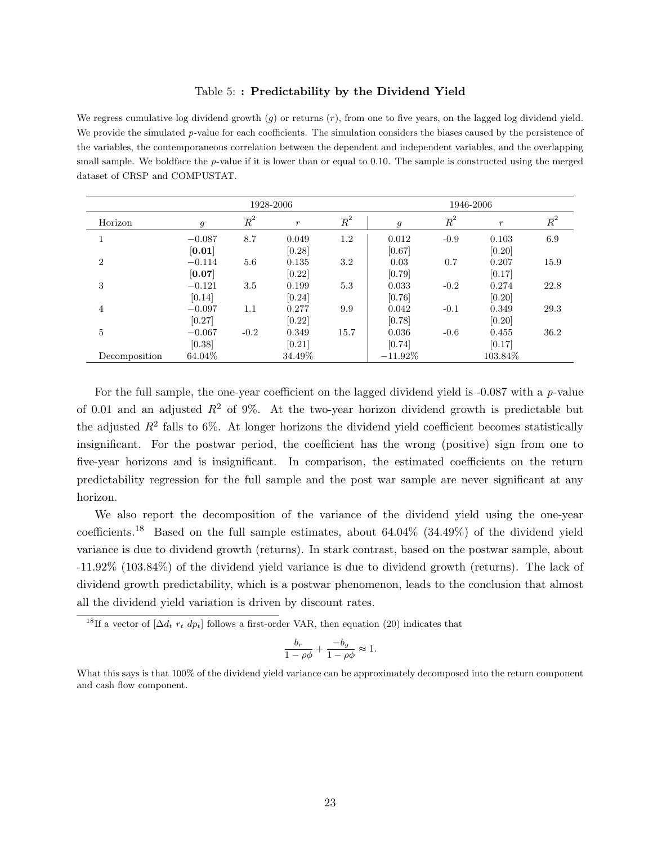### Table 5: : Predictability by the Dividend Yield

We regress cumulative log dividend growth  $(g)$  or returns  $(r)$ , from one to five years, on the lagged log dividend yield. We provide the simulated  $p$ -value for each coefficients. The simulation considers the biases caused by the persistence of the variables, the contemporaneous correlation between the dependent and independent variables, and the overlapping small sample. We boldface the  $p$ -value if it is lower than or equal to 0.10. The sample is constructed using the merged dataset of CRSP and COMPUSTAT.

|                |          |                  | 1928-2006        |                  | 1946-2006      |                  |                  |                  |
|----------------|----------|------------------|------------------|------------------|----------------|------------------|------------------|------------------|
| Horizon        | 9        | $\overline{R}^2$ | $\boldsymbol{r}$ | $\overline{R}^2$ | $\mathfrak{g}$ | $\overline{R}^2$ | $\boldsymbol{r}$ | $\overline{R}^2$ |
|                | $-0.087$ | 8.7              | 0.049            | 1.2              | 0.012          | $-0.9$           | 0.103            | 6.9              |
|                | [0.01]   |                  | [0.28]           |                  | [0.67]         |                  | [0.20]           |                  |
| $\overline{2}$ | $-0.114$ | 5.6              | 0.135            | 3.2              | 0.03           | 0.7              | 0.207            | 15.9             |
|                | [0.07]   |                  | [0.22]           |                  | [0.79]         |                  | [0.17]           |                  |
| 3              | $-0.121$ | $3.5\,$          | 0.199            | 5.3              | 0.033          | $-0.2$           | 0.274            | 22.8             |
|                | [0.14]   |                  | [0.24]           |                  | [0.76]         |                  | [0.20]           |                  |
| $\overline{4}$ | $-0.097$ | 1.1              | 0.277            | 9.9              | 0.042          | $-0.1$           | 0.349            | 29.3             |
|                | [0.27]   |                  | [0.22]           |                  | [0.78]         |                  | [0.20]           |                  |
| 5              | $-0.067$ | $-0.2$           | 0.349            | 15.7             | 0.036          | $-0.6$           | 0.455            | 36.2             |
|                | [0.38]   |                  | [0.21]           |                  | [0.74]         |                  | [0.17]           |                  |
| Decomposition  | 64.04%   |                  | 34.49%           |                  | $-11.92\%$     |                  | 103.84\%         |                  |

For the full sample, the one-year coefficient on the lagged dividend yield is -0.087 with a p-value of 0.01 and an adjusted  $R^2$  of 9%. At the two-year horizon dividend growth is predictable but the adjusted  $R^2$  falls to 6%. At longer horizons the dividend yield coefficient becomes statistically insignificant. For the postwar period, the coefficient has the wrong (positive) sign from one to five-year horizons and is insignificant. In comparison, the estimated coefficients on the return predictability regression for the full sample and the post war sample are never significant at any horizon.

We also report the decomposition of the variance of the dividend yield using the one-year coefficients.<sup>18</sup> Based on the full sample estimates, about 64.04% (34.49%) of the dividend yield variance is due to dividend growth (returns). In stark contrast, based on the postwar sample, about -11.92% (103.84%) of the dividend yield variance is due to dividend growth (returns). The lack of dividend growth predictability, which is a postwar phenomenon, leads to the conclusion that almost all the dividend yield variation is driven by discount rates.

<sup>18</sup>If a vector of  $[\Delta d_t r_t dp_t]$  follows a first-order VAR, then equation (20) indicates that

$$
\frac{b_r}{1-\rho\phi} + \frac{-b_g}{1-\rho\phi} \approx 1.
$$

What this says is that 100% of the dividend yield variance can be approximately decomposed into the return component and cash flow component.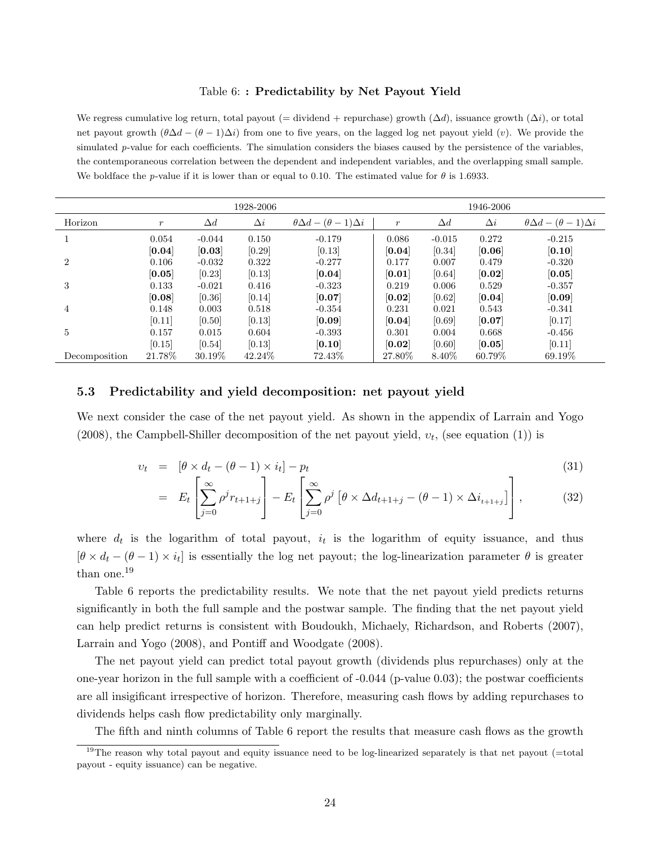#### Table 6: : Predictability by Net Payout Yield

We regress cumulative log return, total payout (= dividend + repurchase) growth  $(\Delta d)$ , issuance growth  $(\Delta i)$ , or total net payout growth  $(\theta \Delta d - (\theta - 1)\Delta i)$  from one to five years, on the lagged log net payout yield  $(v)$ . We provide the simulated  $p$ -value for each coefficients. The simulation considers the biases caused by the persistence of the variables, the contemporaneous correlation between the dependent and independent variables, and the overlapping small sample. We boldface the p-value if it is lower than or equal to 0.10. The estimated value for  $\theta$  is 1.6933.

|                |                  |            | 1928-2006  |                                           |                  | 1946-2006  |            |                                           |  |  |
|----------------|------------------|------------|------------|-------------------------------------------|------------------|------------|------------|-------------------------------------------|--|--|
| Horizon        | $\boldsymbol{r}$ | $\Delta d$ | $\Delta i$ | $\theta \Delta d - (\theta - 1) \Delta i$ | $\boldsymbol{r}$ | $\Delta d$ | $\Delta i$ | $\theta \Delta d - (\theta - 1) \Delta i$ |  |  |
|                | 0.054            | $-0.044$   | 0.150      | $-0.179$                                  | 0.086            | $-0.015$   | 0.272      | $-0.215$                                  |  |  |
|                | [0.04]           | [0.03]     | [0.29]     | [0.13]                                    | [0.04]           | [0.34]     | [0.06]     | [0.10]                                    |  |  |
| $\overline{2}$ | 0.106            | $-0.032$   | 0.322      | $-0.277$                                  | 0.177            | 0.007      | 0.479      | $-0.320$                                  |  |  |
|                | [0.05]           | [0.23]     | [0.13]     | [0.04]                                    | [0.01]           | [0.64]     | [0.02]     | $\left[0.05\right]$                       |  |  |
| 3              | 0.133            | $-0.021$   | 0.416      | $-0.323$                                  | 0.219            | 0.006      | 0.529      | $-0.357$                                  |  |  |
|                | [0.08]           | [0.36]     | [0.14]     | [0.07]                                    | [0.02]           | [0.62]     | [0.04]     | [0.09]                                    |  |  |
| $\overline{4}$ | 0.148            | 0.003      | 0.518      | $-0.354$                                  | 0.231            | 0.021      | 0.543      | $-0.341$                                  |  |  |
|                | [0.11]           | [0.50]     | [0.13]     | [0.09]                                    | [0.04]           | [0.69]     | [0.07]     | [0.17]                                    |  |  |
| 5              | 0.157            | 0.015      | 0.604      | $-0.393$                                  | 0.301            | 0.004      | 0.668      | $-0.456$                                  |  |  |
|                | [0.15]           | [0.54]     | [0.13]     | [0.10]                                    | [0.02]           | [0.60]     | [0.05]     | [0.11]                                    |  |  |
| Decomposition  | 21.78%           | 30.19%     | 42.24\%    | 72.43\%                                   | 27.80%           | 8.40\%     | 60.79%     | 69.19\%                                   |  |  |

### 5.3 Predictability and yield decomposition: net payout yield

We next consider the case of the net payout yield. As shown in the appendix of Larrain and Yogo (2008), the Campbell-Shiller decomposition of the net payout yield,  $v_t$ , (see equation (1)) is

$$
v_t = [\theta \times d_t - (\theta - 1) \times i_t] - p_t \tag{31}
$$

$$
= E_t \left[ \sum_{j=0}^{\infty} \rho^j r_{t+1+j} \right] - E_t \left[ \sum_{j=0}^{\infty} \rho^j \left[ \theta \times \Delta d_{t+1+j} - (\theta - 1) \times \Delta i_{t+1+j} \right] \right],
$$
(32)

where  $d_t$  is the logarithm of total payout,  $i_t$  is the logarithm of equity issuance, and thus  $[\theta \times d_t - (\theta - 1) \times i_t]$  is essentially the log net payout; the log-linearization parameter  $\theta$  is greater than one.<sup>19</sup>

Table 6 reports the predictability results. We note that the net payout yield predicts returns significantly in both the full sample and the postwar sample. The finding that the net payout yield can help predict returns is consistent with Boudoukh, Michaely, Richardson, and Roberts (2007), Larrain and Yogo (2008), and Pontiff and Woodgate (2008).

The net payout yield can predict total payout growth (dividends plus repurchases) only at the one-year horizon in the full sample with a coefficient of -0.044 (p-value 0.03); the postwar coefficients are all insigificant irrespective of horizon. Therefore, measuring cash flows by adding repurchases to dividends helps cash flow predictability only marginally.

The fifth and ninth columns of Table 6 report the results that measure cash flows as the growth

<sup>&</sup>lt;sup>19</sup>The reason why total payout and equity issuance need to be log-linearized separately is that net payout  $(=$ total payout - equity issuance) can be negative.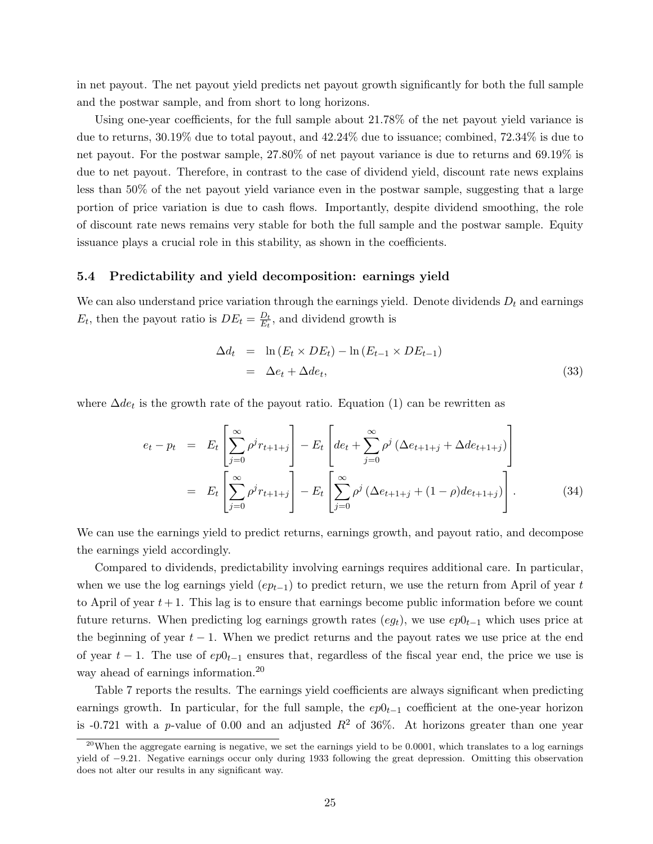in net payout. The net payout yield predicts net payout growth significantly for both the full sample and the postwar sample, and from short to long horizons.

Using one-year coefficients, for the full sample about 21.78% of the net payout yield variance is due to returns, 30.19% due to total payout, and 42.24% due to issuance; combined, 72.34% is due to net payout. For the postwar sample, 27.80% of net payout variance is due to returns and 69.19% is due to net payout. Therefore, in contrast to the case of dividend yield, discount rate news explains less than 50% of the net payout yield variance even in the postwar sample, suggesting that a large portion of price variation is due to cash flows. Importantly, despite dividend smoothing, the role of discount rate news remains very stable for both the full sample and the postwar sample. Equity issuance plays a crucial role in this stability, as shown in the coefficients.

### 5.4 Predictability and yield decomposition: earnings yield

We can also understand price variation through the earnings yield. Denote dividends  $D_t$  and earnings  $E_t$ , then the payout ratio is  $DE_t = \frac{D_t}{E_t}$  $\frac{D_t}{E_t}$ , and dividend growth is

$$
\Delta d_t = \ln(E_t \times DE_t) - \ln(E_{t-1} \times DE_{t-1})
$$
  
=  $\Delta e_t + \Delta de_t,$  (33)

where  $\Delta de_t$  is the growth rate of the payout ratio. Equation (1) can be rewritten as

$$
e_{t} - p_{t} = E_{t} \left[ \sum_{j=0}^{\infty} \rho^{j} r_{t+1+j} \right] - E_{t} \left[ de_{t} + \sum_{j=0}^{\infty} \rho^{j} \left( \Delta e_{t+1+j} + \Delta de_{t+1+j} \right) \right]
$$
  

$$
= E_{t} \left[ \sum_{j=0}^{\infty} \rho^{j} r_{t+1+j} \right] - E_{t} \left[ \sum_{j=0}^{\infty} \rho^{j} \left( \Delta e_{t+1+j} + (1-\rho)de_{t+1+j} \right) \right].
$$
 (34)

We can use the earnings yield to predict returns, earnings growth, and payout ratio, and decompose the earnings yield accordingly.

Compared to dividends, predictability involving earnings requires additional care. In particular, when we use the log earnings yield  $(ep_{t-1})$  to predict return, we use the return from April of year t to April of year  $t + 1$ . This lag is to ensure that earnings become public information before we count future returns. When predicting log earnings growth rates  $(eg_t)$ , we use  $ep0_{t-1}$  which uses price at the beginning of year  $t - 1$ . When we predict returns and the payout rates we use price at the end of year  $t - 1$ . The use of  $ep0_{t-1}$  ensures that, regardless of the fiscal year end, the price we use is way ahead of earnings information.<sup>20</sup>

Table 7 reports the results. The earnings yield coefficients are always significant when predicting earnings growth. In particular, for the full sample, the  $ep0<sub>t-1</sub>$  coefficient at the one-year horizon is -0.721 with a p-value of 0.00 and an adjusted  $R^2$  of 36%. At horizons greater than one year

<sup>&</sup>lt;sup>20</sup>When the aggregate earning is negative, we set the earnings yield to be 0.0001, which translates to a log earnings yield of −9.21. Negative earnings occur only during 1933 following the great depression. Omitting this observation does not alter our results in any significant way.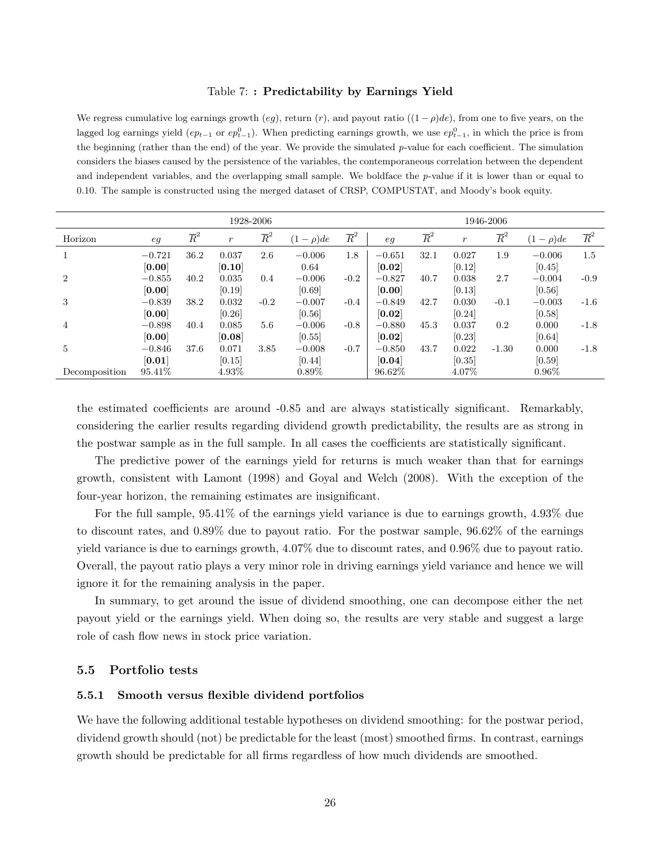### Table 7: : Predictability by Earnings Yield

We regress cumulative log earnings growth (eg), return  $(r)$ , and payout ratio  $((1 - \rho)de)$ , from one to five years, on the lagged log earnings yield  $(ep_{t-1}$  or  $ep_{t-1}^0$ ). When predicting earnings growth, we use  $ep_{t-1}^0$ , in which the price is from the beginning (rather than the end) of the year. We provide the simulated  $p$ -value for each coefficient. The simulation considers the biases caused by the persistence of the variables, the contemporaneous correlation between the dependent and independent variables, and the overlapping small sample. We boldface the  $p$ -value if it is lower than or equal to 0.10. The sample is constructed using the merged dataset of CRSP, COMPUSTAT, and Moody's book equity.

|                | 1928-2006 |                  |                  |                  |              |                  | 1946-2006 |                  |                  |                  |              |                  |
|----------------|-----------|------------------|------------------|------------------|--------------|------------------|-----------|------------------|------------------|------------------|--------------|------------------|
| Horizon        | eg        | $\overline{R}^2$ | $\boldsymbol{r}$ | $\overline{R}^2$ | $(1-\rho)de$ | $\overline{R}^2$ | eq        | $\overline{R}^2$ | $\boldsymbol{r}$ | $\overline{R}^2$ | $(1-\rho)de$ | $\overline{R}^2$ |
|                | $-0.721$  | 36.2             | 0.037            | 2.6              | $-0.006$     | 1.8              | $-0.651$  | 32.1             | 0.027            | 1.9              | $-0.006$     | 1.5              |
|                | [0.00]    |                  | [0.10]           |                  | 0.64         |                  | [0.02]    |                  | [0.12]           |                  | [0.45]       |                  |
| $\overline{2}$ | $-0.855$  | 40.2             | 0.035            | 0.4              | $-0.006$     | $-0.2$           | $-0.827$  | 40.7             | 0.038            | 2.7              | $-0.004$     | $-0.9$           |
|                | [0.00]    |                  | [0.19]           |                  | [0.69]       |                  | [0.00]    |                  | [0.13]           |                  | [0.56]       |                  |
| 3              | $-0.839$  | 38.2             | 0.032            | $-0.2$           | $-0.007$     | $-0.4$           | $-0.849$  | 42.7             | 0.030            | $-0.1$           | $-0.003$     | $-1.6$           |
|                | [0.00]    |                  | [0.26]           |                  | [0.56]       |                  | [0.02]    |                  | [0.24]           |                  | [0.58]       |                  |
| 4              | $-0.898$  | 40.4             | 0.085            | 5.6              | $-0.006$     | $-0.8$           | $-0.880$  | 45.3             | 0.037            | 0.2              | 0.000        | $-1.8$           |
|                | [0.00]    |                  | [0.08]           |                  | [0.55]       |                  | [0.02]    |                  | [0.23]           |                  | [0.64]       |                  |
| 5              | $-0.846$  | 37.6             | 0.071            | 3.85             | $-0.008$     | $-0.7$           | $-0.850$  | 43.7             | 0.022            | $-1.30$          | 0.000        | $-1.8$           |
|                | [0.01]    |                  | [0.15]           |                  | [0.44]       |                  | [0.04]    |                  | [0.35]           |                  | [0.59]       |                  |
| Decomposition  | 95.41\%   |                  | 4.93%            |                  | $0.89\%$     |                  | 96.62%    |                  | 4.07%            |                  | $0.96\%$     |                  |

the estimated coefficients are around -0.85 and are always statistically significant. Remarkably, considering the earlier results regarding dividend growth predictability, the results are as strong in the postwar sample as in the full sample. In all cases the coefficients are statistically significant.

The predictive power of the earnings yield for returns is much weaker than that for earnings growth, consistent with Lamont (1998) and Goyal and Welch (2008). With the exception of the four-year horizon, the remaining estimates are insignificant.

For the full sample, 95.41% of the earnings yield variance is due to earnings growth, 4.93% due to discount rates, and 0.89% due to payout ratio. For the postwar sample, 96.62% of the earnings yield variance is due to earnings growth, 4.07% due to discount rates, and 0.96% due to payout ratio. Overall, the payout ratio plays a very minor role in driving earnings yield variance and hence we will ignore it for the remaining analysis in the paper.

In summary, to get around the issue of dividend smoothing, one can decompose either the net payout yield or the earnings yield. When doing so, the results are very stable and suggest a large role of cash flow news in stock price variation.

### 5.5 Portfolio tests

### 5.5.1 Smooth versus flexible dividend portfolios

We have the following additional testable hypotheses on dividend smoothing: for the postwar period, dividend growth should (not) be predictable for the least (most) smoothed firms. In contrast, earnings growth should be predictable for all firms regardless of how much dividends are smoothed.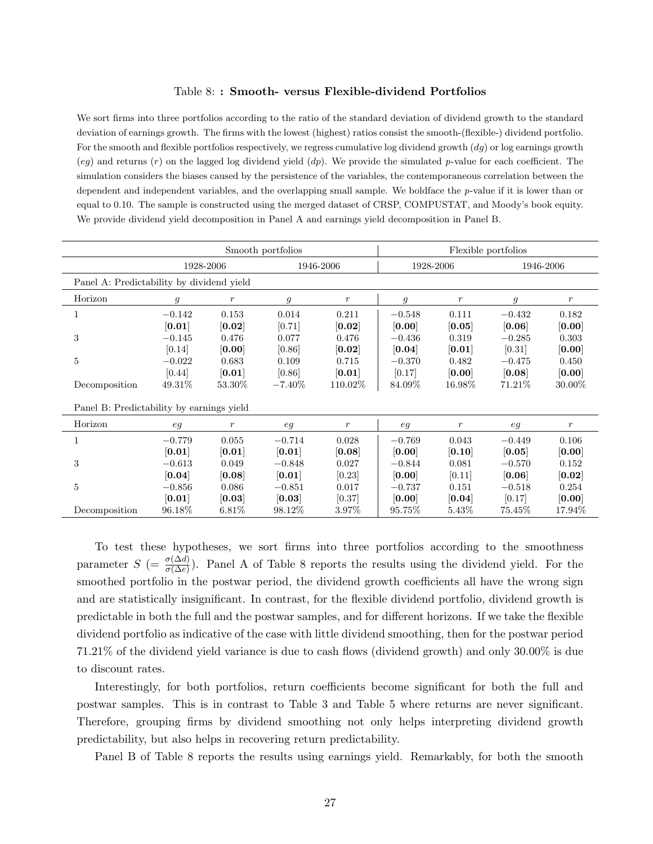### Table 8: : Smooth- versus Flexible-dividend Portfolios

We sort firms into three portfolios according to the ratio of the standard deviation of dividend growth to the standard deviation of earnings growth. The firms with the lowest (highest) ratios consist the smooth-(flexible-) dividend portfolio. For the smooth and flexible portfolios respectively, we regress cumulative log dividend growth  $(dg)$  or log earnings growth (eg) and returns  $(r)$  on the lagged log dividend yield  $(dp)$ . We provide the simulated p-value for each coefficient. The simulation considers the biases caused by the persistence of the variables, the contemporaneous correlation between the dependent and independent variables, and the overlapping small sample. We boldface the p-value if it is lower than or equal to 0.10. The sample is constructed using the merged dataset of CRSP, COMPUSTAT, and Moody's book equity. We provide dividend yield decomposition in Panel A and earnings yield decomposition in Panel B.

|                                           |               |                     | Smooth portfolios |                  |               | Flexible portfolios |                |               |
|-------------------------------------------|---------------|---------------------|-------------------|------------------|---------------|---------------------|----------------|---------------|
|                                           |               | 1928-2006           |                   | 1946-2006        |               | 1928-2006           | 1946-2006      |               |
| Panel A: Predictability by dividend yield |               |                     |                   |                  |               |                     |                |               |
| Horizon                                   | $\mathfrak g$ | $\boldsymbol{r}$    | $\mathfrak{g}$    | $\boldsymbol{r}$ | $\mathfrak g$ | $\boldsymbol{r}$    | $\mathfrak{g}$ | $\mathcal{r}$ |
| 1                                         | $-0.142$      | 0.153               | 0.014             | 0.211            | $-0.548$      | 0.111               | $-0.432$       | 0.182         |
|                                           | [0.01]        | $\left[0.02\right]$ | [0.71]            | [0.02]           | [0.00]        | [0.05]              | [0.06]         | [0.00]        |
| 3                                         | $-0.145$      | 0.476               | 0.077             | 0.476            | $-0.436$      | 0.319               | $-0.285$       | 0.303         |
|                                           | [0.14]        | [0.00]              | [0.86]            | [0.02]           | [0.04]        | [0.01]              | [0.31]         | [0.00]        |
| $\overline{5}$                            | $-0.022$      | 0.683               | 0.109             | 0.715            | $-0.370$      | 0.482               | $-0.475$       | 0.450         |
|                                           | [0.44]        | [0.01]              | [0.86]            | [0.01]           | [0.17]        | [0.00]              | [0.08]         | [0.00]        |
| Decomposition                             | 49.31\%       | 53.30\%             | $-7.40\%$         | 110.02\%         | 84.09%        | 16.98%              | 71.21\%        | 30.00%        |
| Panel B: Predictability by earnings yield |               |                     |                   |                  |               |                     |                |               |
| Horizon                                   | eg            | $\boldsymbol{r}$    | eg                | $\boldsymbol{r}$ | eg            | $\boldsymbol{r}$    | eg             | $\mathcal{r}$ |
| 1                                         | $-0.779$      | 0.055               | $-0.714$          | 0.028            | $-0.769$      | 0.043               | $-0.449$       | 0.106         |
|                                           | [0.01]        | [0.01]              | [0.01]            | [0.08]           | [0.00]        | [0.10]              | [0.05]         | [0.00]        |
| 3                                         | $-0.613$      | 0.049               | $-0.848$          | 0.027            | $-0.844$      | 0.081               | $-0.570$       | 0.152         |
|                                           | [0.04]        | [0.08]              | [0.01]            | [0.23]           | [0.00]        | [0.11]              | [0.06]         | [0.02]        |
| $\overline{5}$                            | $-0.856$      | 0.086               | $-0.851$          | 0.017            | $-0.737$      | 0.151               | $-0.518$       | 0.254         |
|                                           | [0.01]        | [0.03]              | [0.03]            | [0.37]           | [0.00]        | [0.04]              | [0.17]         | [0.00]        |
| Decomposition                             | 96.18\%       | $6.81\%$            | 98.12\%           | $3.97\%$         | 95.75%        | $5.43\%$            | 75.45\%        | 17.94\%       |

To test these hypotheses, we sort firms into three portfolios according to the smoothness parameter  $S = \frac{\sigma(\Delta d)}{\sigma(\Delta e)}$ . Panel A of Table 8 reports the results using the dividend yield. For the smoothed portfolio in the postwar period, the dividend growth coefficients all have the wrong sign and are statistically insignificant. In contrast, for the flexible dividend portfolio, dividend growth is predictable in both the full and the postwar samples, and for different horizons. If we take the flexible dividend portfolio as indicative of the case with little dividend smoothing, then for the postwar period 71.21% of the dividend yield variance is due to cash flows (dividend growth) and only 30.00% is due to discount rates.

Interestingly, for both portfolios, return coefficients become significant for both the full and postwar samples. This is in contrast to Table 3 and Table 5 where returns are never significant. Therefore, grouping firms by dividend smoothing not only helps interpreting dividend growth predictability, but also helps in recovering return predictability.

Panel B of Table 8 reports the results using earnings yield. Remarkably, for both the smooth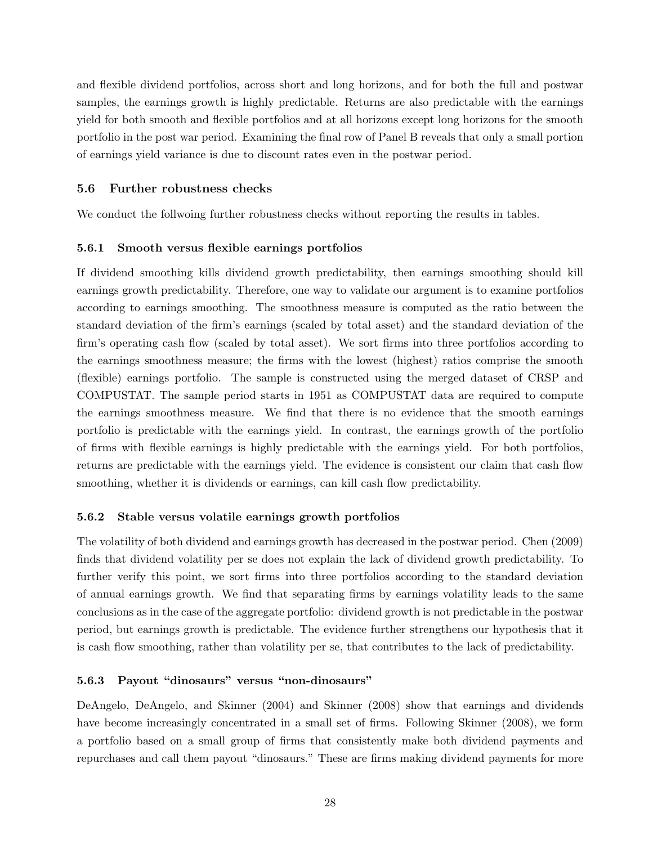and flexible dividend portfolios, across short and long horizons, and for both the full and postwar samples, the earnings growth is highly predictable. Returns are also predictable with the earnings yield for both smooth and flexible portfolios and at all horizons except long horizons for the smooth portfolio in the post war period. Examining the final row of Panel B reveals that only a small portion of earnings yield variance is due to discount rates even in the postwar period.

### 5.6 Further robustness checks

We conduct the follwoing further robustness checks without reporting the results in tables.

### 5.6.1 Smooth versus flexible earnings portfolios

If dividend smoothing kills dividend growth predictability, then earnings smoothing should kill earnings growth predictability. Therefore, one way to validate our argument is to examine portfolios according to earnings smoothing. The smoothness measure is computed as the ratio between the standard deviation of the firm's earnings (scaled by total asset) and the standard deviation of the firm's operating cash flow (scaled by total asset). We sort firms into three portfolios according to the earnings smoothness measure; the firms with the lowest (highest) ratios comprise the smooth (flexible) earnings portfolio. The sample is constructed using the merged dataset of CRSP and COMPUSTAT. The sample period starts in 1951 as COMPUSTAT data are required to compute the earnings smoothness measure. We find that there is no evidence that the smooth earnings portfolio is predictable with the earnings yield. In contrast, the earnings growth of the portfolio of firms with flexible earnings is highly predictable with the earnings yield. For both portfolios, returns are predictable with the earnings yield. The evidence is consistent our claim that cash flow smoothing, whether it is dividends or earnings, can kill cash flow predictability.

### 5.6.2 Stable versus volatile earnings growth portfolios

The volatility of both dividend and earnings growth has decreased in the postwar period. Chen (2009) finds that dividend volatility per se does not explain the lack of dividend growth predictability. To further verify this point, we sort firms into three portfolios according to the standard deviation of annual earnings growth. We find that separating firms by earnings volatility leads to the same conclusions as in the case of the aggregate portfolio: dividend growth is not predictable in the postwar period, but earnings growth is predictable. The evidence further strengthens our hypothesis that it is cash flow smoothing, rather than volatility per se, that contributes to the lack of predictability.

### 5.6.3 Payout "dinosaurs" versus "non-dinosaurs"

DeAngelo, DeAngelo, and Skinner (2004) and Skinner (2008) show that earnings and dividends have become increasingly concentrated in a small set of firms. Following Skinner (2008), we form a portfolio based on a small group of firms that consistently make both dividend payments and repurchases and call them payout "dinosaurs." These are firms making dividend payments for more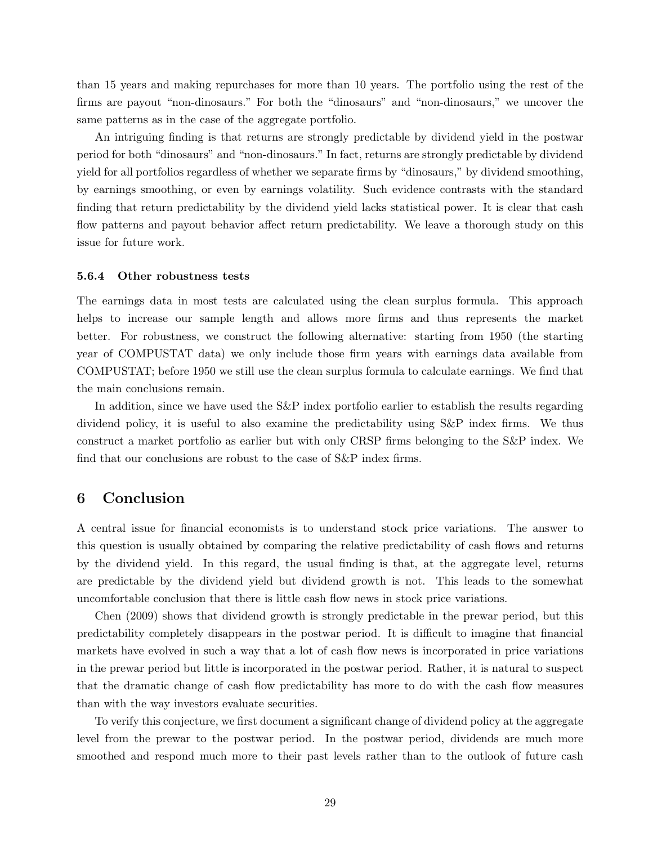than 15 years and making repurchases for more than 10 years. The portfolio using the rest of the firms are payout "non-dinosaurs." For both the "dinosaurs" and "non-dinosaurs," we uncover the same patterns as in the case of the aggregate portfolio.

An intriguing finding is that returns are strongly predictable by dividend yield in the postwar period for both "dinosaurs" and "non-dinosaurs." In fact, returns are strongly predictable by dividend yield for all portfolios regardless of whether we separate firms by "dinosaurs," by dividend smoothing, by earnings smoothing, or even by earnings volatility. Such evidence contrasts with the standard finding that return predictability by the dividend yield lacks statistical power. It is clear that cash flow patterns and payout behavior affect return predictability. We leave a thorough study on this issue for future work.

### 5.6.4 Other robustness tests

The earnings data in most tests are calculated using the clean surplus formula. This approach helps to increase our sample length and allows more firms and thus represents the market better. For robustness, we construct the following alternative: starting from 1950 (the starting year of COMPUSTAT data) we only include those firm years with earnings data available from COMPUSTAT; before 1950 we still use the clean surplus formula to calculate earnings. We find that the main conclusions remain.

In addition, since we have used the S&P index portfolio earlier to establish the results regarding dividend policy, it is useful to also examine the predictability using S&P index firms. We thus construct a market portfolio as earlier but with only CRSP firms belonging to the S&P index. We find that our conclusions are robust to the case of S&P index firms.

## 6 Conclusion

A central issue for financial economists is to understand stock price variations. The answer to this question is usually obtained by comparing the relative predictability of cash flows and returns by the dividend yield. In this regard, the usual finding is that, at the aggregate level, returns are predictable by the dividend yield but dividend growth is not. This leads to the somewhat uncomfortable conclusion that there is little cash flow news in stock price variations.

Chen (2009) shows that dividend growth is strongly predictable in the prewar period, but this predictability completely disappears in the postwar period. It is difficult to imagine that financial markets have evolved in such a way that a lot of cash flow news is incorporated in price variations in the prewar period but little is incorporated in the postwar period. Rather, it is natural to suspect that the dramatic change of cash flow predictability has more to do with the cash flow measures than with the way investors evaluate securities.

To verify this conjecture, we first document a significant change of dividend policy at the aggregate level from the prewar to the postwar period. In the postwar period, dividends are much more smoothed and respond much more to their past levels rather than to the outlook of future cash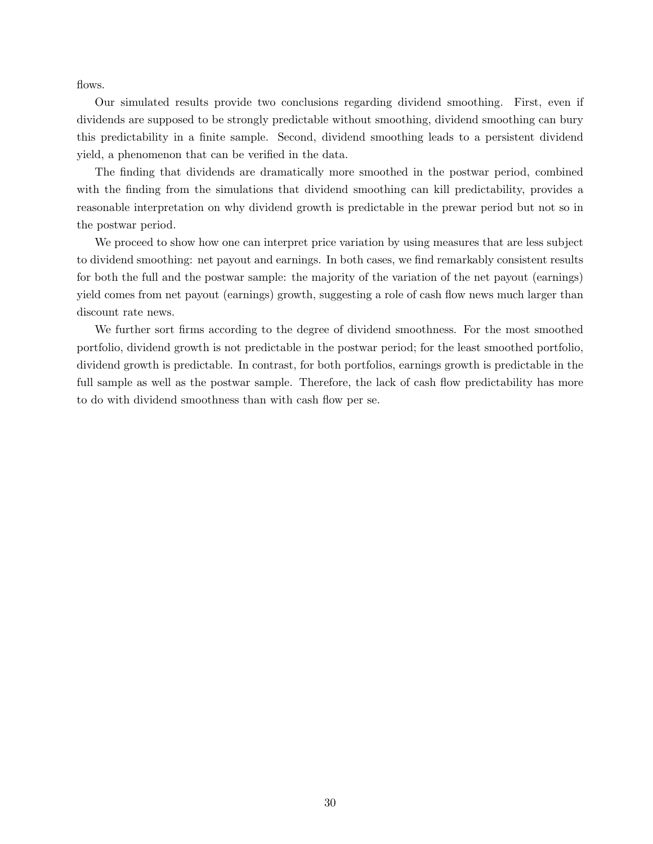flows.

Our simulated results provide two conclusions regarding dividend smoothing. First, even if dividends are supposed to be strongly predictable without smoothing, dividend smoothing can bury this predictability in a finite sample. Second, dividend smoothing leads to a persistent dividend yield, a phenomenon that can be verified in the data.

The finding that dividends are dramatically more smoothed in the postwar period, combined with the finding from the simulations that dividend smoothing can kill predictability, provides a reasonable interpretation on why dividend growth is predictable in the prewar period but not so in the postwar period.

We proceed to show how one can interpret price variation by using measures that are less subject to dividend smoothing: net payout and earnings. In both cases, we find remarkably consistent results for both the full and the postwar sample: the majority of the variation of the net payout (earnings) yield comes from net payout (earnings) growth, suggesting a role of cash flow news much larger than discount rate news.

We further sort firms according to the degree of dividend smoothness. For the most smoothed portfolio, dividend growth is not predictable in the postwar period; for the least smoothed portfolio, dividend growth is predictable. In contrast, for both portfolios, earnings growth is predictable in the full sample as well as the postwar sample. Therefore, the lack of cash flow predictability has more to do with dividend smoothness than with cash flow per se.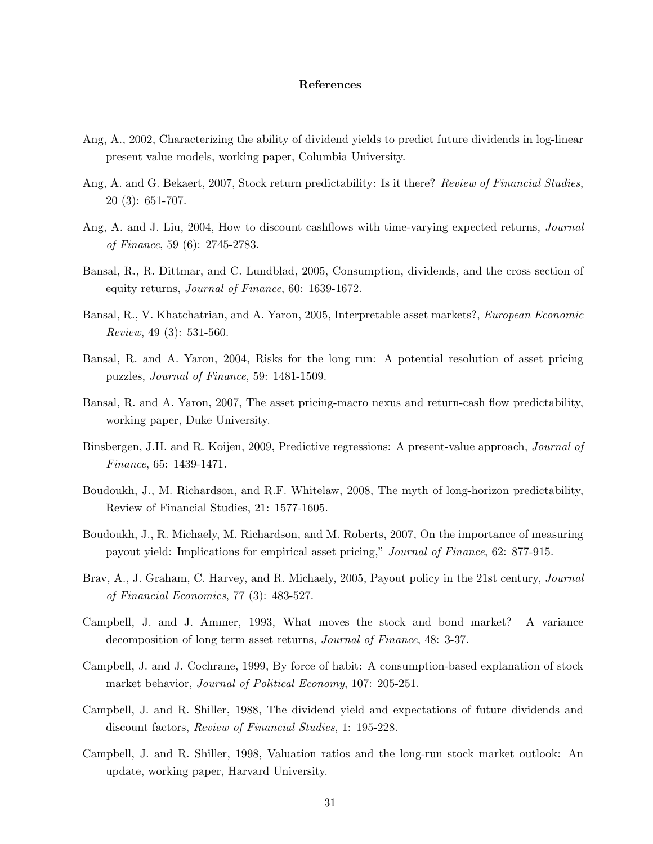### References

- Ang, A., 2002, Characterizing the ability of dividend yields to predict future dividends in log-linear present value models, working paper, Columbia University.
- Ang, A. and G. Bekaert, 2007, Stock return predictability: Is it there? Review of Financial Studies, 20 (3): 651-707.
- Ang, A. and J. Liu, 2004, How to discount cashflows with time-varying expected returns, *Journal* of Finance, 59 (6): 2745-2783.
- Bansal, R., R. Dittmar, and C. Lundblad, 2005, Consumption, dividends, and the cross section of equity returns, Journal of Finance, 60: 1639-1672.
- Bansal, R., V. Khatchatrian, and A. Yaron, 2005, Interpretable asset markets?, European Economic Review, 49 (3): 531-560.
- Bansal, R. and A. Yaron, 2004, Risks for the long run: A potential resolution of asset pricing puzzles, Journal of Finance, 59: 1481-1509.
- Bansal, R. and A. Yaron, 2007, The asset pricing-macro nexus and return-cash flow predictability, working paper, Duke University.
- Binsbergen, J.H. and R. Koijen, 2009, Predictive regressions: A present-value approach, Journal of Finance, 65: 1439-1471.
- Boudoukh, J., M. Richardson, and R.F. Whitelaw, 2008, The myth of long-horizon predictability, Review of Financial Studies, 21: 1577-1605.
- Boudoukh, J., R. Michaely, M. Richardson, and M. Roberts, 2007, On the importance of measuring payout yield: Implications for empirical asset pricing," Journal of Finance, 62: 877-915.
- Brav, A., J. Graham, C. Harvey, and R. Michaely, 2005, Payout policy in the 21st century, *Journal* of Financial Economics, 77 (3): 483-527.
- Campbell, J. and J. Ammer, 1993, What moves the stock and bond market? A variance decomposition of long term asset returns, Journal of Finance, 48: 3-37.
- Campbell, J. and J. Cochrane, 1999, By force of habit: A consumption-based explanation of stock market behavior, *Journal of Political Economy*, 107: 205-251.
- Campbell, J. and R. Shiller, 1988, The dividend yield and expectations of future dividends and discount factors, Review of Financial Studies, 1: 195-228.
- Campbell, J. and R. Shiller, 1998, Valuation ratios and the long-run stock market outlook: An update, working paper, Harvard University.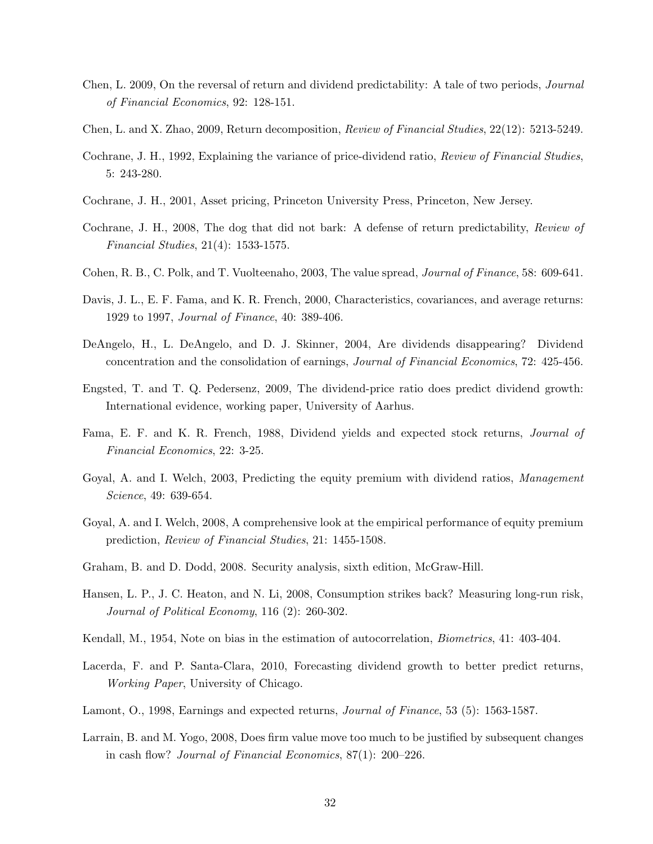- Chen, L. 2009, On the reversal of return and dividend predictability: A tale of two periods, Journal of Financial Economics, 92: 128-151.
- Chen, L. and X. Zhao, 2009, Return decomposition, Review of Financial Studies, 22(12): 5213-5249.
- Cochrane, J. H., 1992, Explaining the variance of price-dividend ratio, Review of Financial Studies, 5: 243-280.
- Cochrane, J. H., 2001, Asset pricing, Princeton University Press, Princeton, New Jersey.
- Cochrane, J. H., 2008, The dog that did not bark: A defense of return predictability, Review of Financial Studies, 21(4): 1533-1575.
- Cohen, R. B., C. Polk, and T. Vuolteenaho, 2003, The value spread, Journal of Finance, 58: 609-641.
- Davis, J. L., E. F. Fama, and K. R. French, 2000, Characteristics, covariances, and average returns: 1929 to 1997, Journal of Finance, 40: 389-406.
- DeAngelo, H., L. DeAngelo, and D. J. Skinner, 2004, Are dividends disappearing? Dividend concentration and the consolidation of earnings, Journal of Financial Economics, 72: 425-456.
- Engsted, T. and T. Q. Pedersenz, 2009, The dividend-price ratio does predict dividend growth: International evidence, working paper, University of Aarhus.
- Fama, E. F. and K. R. French, 1988, Dividend yields and expected stock returns, Journal of Financial Economics, 22: 3-25.
- Goyal, A. and I. Welch, 2003, Predicting the equity premium with dividend ratios, Management Science, 49: 639-654.
- Goyal, A. and I. Welch, 2008, A comprehensive look at the empirical performance of equity premium prediction, Review of Financial Studies, 21: 1455-1508.
- Graham, B. and D. Dodd, 2008. Security analysis, sixth edition, McGraw-Hill.
- Hansen, L. P., J. C. Heaton, and N. Li, 2008, Consumption strikes back? Measuring long-run risk, Journal of Political Economy, 116 (2): 260-302.
- Kendall, M., 1954, Note on bias in the estimation of autocorrelation, Biometrics, 41: 403-404.
- Lacerda, F. and P. Santa-Clara, 2010, Forecasting dividend growth to better predict returns, Working Paper, University of Chicago.
- Lamont, O., 1998, Earnings and expected returns, *Journal of Finance*, 53 (5): 1563-1587.
- Larrain, B. and M. Yogo, 2008, Does firm value move too much to be justified by subsequent changes in cash flow? Journal of Financial Economics, 87(1): 200–226.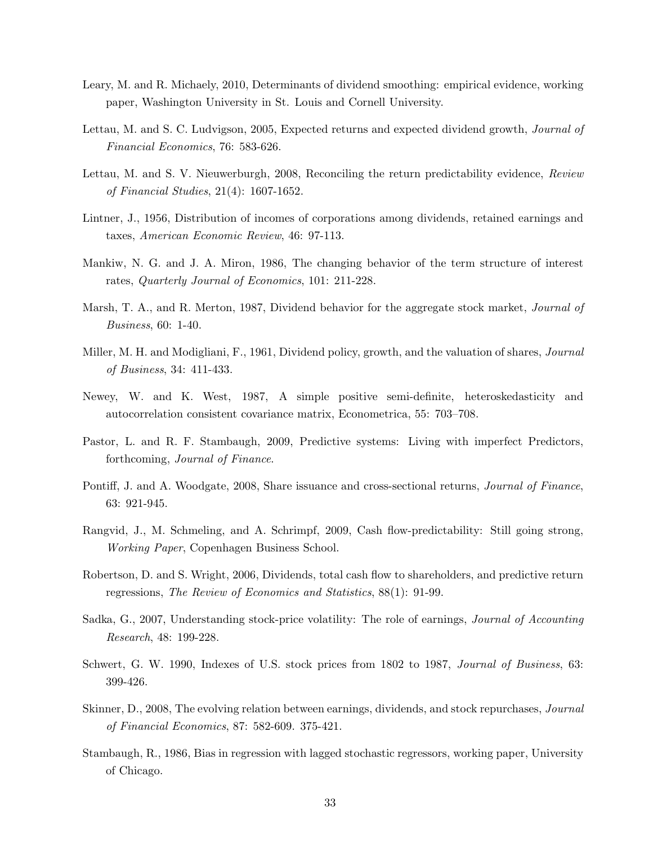- Leary, M. and R. Michaely, 2010, Determinants of dividend smoothing: empirical evidence, working paper, Washington University in St. Louis and Cornell University.
- Lettau, M. and S. C. Ludvigson, 2005, Expected returns and expected dividend growth, Journal of Financial Economics, 76: 583-626.
- Lettau, M. and S. V. Nieuwerburgh, 2008, Reconciling the return predictability evidence, Review of Financial Studies, 21(4): 1607-1652.
- Lintner, J., 1956, Distribution of incomes of corporations among dividends, retained earnings and taxes, American Economic Review, 46: 97-113.
- Mankiw, N. G. and J. A. Miron, 1986, The changing behavior of the term structure of interest rates, Quarterly Journal of Economics, 101: 211-228.
- Marsh, T. A., and R. Merton, 1987, Dividend behavior for the aggregate stock market, *Journal of* Business, 60: 1-40.
- Miller, M. H. and Modigliani, F., 1961, Dividend policy, growth, and the valuation of shares, *Journal* of Business, 34: 411-433.
- Newey, W. and K. West, 1987, A simple positive semi-definite, heteroskedasticity and autocorrelation consistent covariance matrix, Econometrica, 55: 703–708.
- Pastor, L. and R. F. Stambaugh, 2009, Predictive systems: Living with imperfect Predictors, forthcoming, Journal of Finance.
- Pontiff, J. and A. Woodgate, 2008, Share issuance and cross-sectional returns, *Journal of Finance*, 63: 921-945.
- Rangvid, J., M. Schmeling, and A. Schrimpf, 2009, Cash flow-predictability: Still going strong, Working Paper, Copenhagen Business School.
- Robertson, D. and S. Wright, 2006, Dividends, total cash flow to shareholders, and predictive return regressions, The Review of Economics and Statistics, 88(1): 91-99.
- Sadka, G., 2007, Understanding stock-price volatility: The role of earnings, *Journal of Accounting* Research, 48: 199-228.
- Schwert, G. W. 1990, Indexes of U.S. stock prices from 1802 to 1987, Journal of Business, 63: 399-426.
- Skinner, D., 2008, The evolving relation between earnings, dividends, and stock repurchases, *Journal* of Financial Economics, 87: 582-609. 375-421.
- Stambaugh, R., 1986, Bias in regression with lagged stochastic regressors, working paper, University of Chicago.